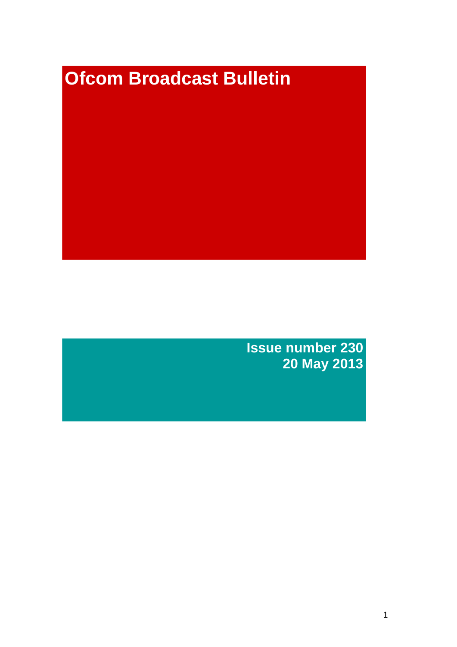# **Ofcom Broadcast Bulletin**

**Issue number 230 20 May 2013**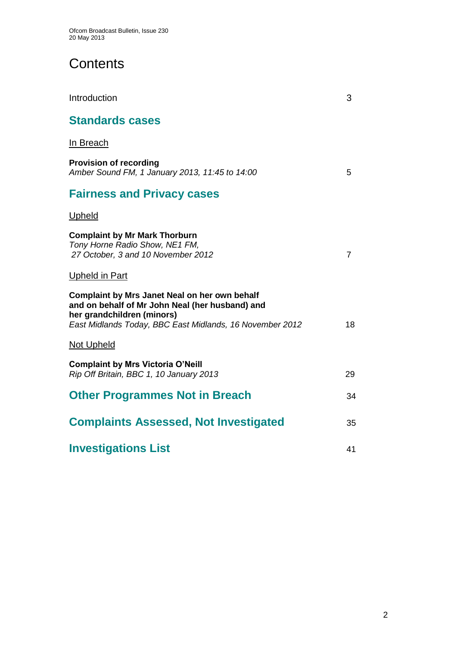# **Contents**

| Introduction                                                                                                                                                                                      | 3              |
|---------------------------------------------------------------------------------------------------------------------------------------------------------------------------------------------------|----------------|
| <b>Standards cases</b>                                                                                                                                                                            |                |
| In Breach                                                                                                                                                                                         |                |
| <b>Provision of recording</b><br>Amber Sound FM, 1 January 2013, 11:45 to 14:00                                                                                                                   | 5              |
| <b>Fairness and Privacy cases</b>                                                                                                                                                                 |                |
| Upheld                                                                                                                                                                                            |                |
| <b>Complaint by Mr Mark Thorburn</b><br>Tony Horne Radio Show, NE1 FM,<br>27 October, 3 and 10 November 2012                                                                                      | $\overline{7}$ |
| <b>Upheld in Part</b>                                                                                                                                                                             |                |
| <b>Complaint by Mrs Janet Neal on her own behalf</b><br>and on behalf of Mr John Neal (her husband) and<br>her grandchildren (minors)<br>East Midlands Today, BBC East Midlands, 16 November 2012 | 18             |
| <b>Not Upheld</b>                                                                                                                                                                                 |                |
| <b>Complaint by Mrs Victoria O'Neill</b><br>Rip Off Britain, BBC 1, 10 January 2013                                                                                                               | 29             |
| <b>Other Programmes Not in Breach</b>                                                                                                                                                             | 34             |
| <b>Complaints Assessed, Not Investigated</b>                                                                                                                                                      | 35             |
| <b>Investigations List</b>                                                                                                                                                                        | 41             |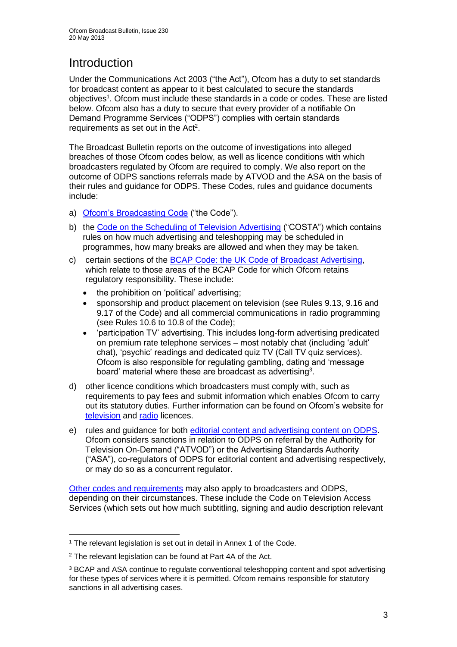# **Introduction**

Under the Communications Act 2003 ("the Act"), Ofcom has a duty to set standards for broadcast content as appear to it best calculated to secure the standards objectives<sup>1</sup>. Ofcom must include these standards in a code or codes. These are listed below. Ofcom also has a duty to secure that every provider of a notifiable On Demand Programme Services ("ODPS") complies with certain standards requirements as set out in the Act<sup>2</sup>.

The Broadcast Bulletin reports on the outcome of investigations into alleged breaches of those Ofcom codes below, as well as licence conditions with which broadcasters regulated by Ofcom are required to comply. We also report on the outcome of ODPS sanctions referrals made by ATVOD and the ASA on the basis of their rules and guidance for ODPS. These Codes, rules and guidance documents include:

- a) [Ofcom's Broadcasting Code](http://stakeholders.ofcom.org.uk/broadcasting/broadcast-codes/broadcast-code/) ("the Code").
- b) the [Code on the Scheduling of Television Advertising](http://stakeholders.ofcom.org.uk/broadcasting/broadcast-codes/advert-code/) ("COSTA") which contains rules on how much advertising and teleshopping may be scheduled in programmes, how many breaks are allowed and when they may be taken.
- c) certain sections of the [BCAP Code: the UK Code of Broadcast Advertising,](http://www.bcap.org.uk/Advertising-Codes/Broadcast-HTML.aspx) which relate to those areas of the BCAP Code for which Ofcom retains regulatory responsibility. These include:
	- the prohibition on 'political' advertising;
	- sponsorship and product placement on television (see Rules 9.13, 9.16 and 9.17 of the Code) and all commercial communications in radio programming (see Rules 10.6 to 10.8 of the Code);
	- 'participation TV' advertising. This includes long-form advertising predicated on premium rate telephone services – most notably chat (including 'adult' chat), 'psychic' readings and dedicated quiz TV (Call TV quiz services). Ofcom is also responsible for regulating gambling, dating and 'message board' material where these are broadcast as advertising<sup>3</sup>.
- d) other licence conditions which broadcasters must comply with, such as requirements to pay fees and submit information which enables Ofcom to carry out its statutory duties. Further information can be found on Ofcom's website for [television](http://licensing.ofcom.org.uk/tv-broadcast-licences/) and [radio](http://licensing.ofcom.org.uk/radio-broadcast-licensing/) licences.
- e) rules and guidance for both [editorial content and advertising content on ODPS.](http://www.atvod.co.uk/uploads/files/ATVOD_Rules_and_Guidance_Ed_2.0_May_2012.pdf) Ofcom considers sanctions in relation to ODPS on referral by the Authority for Television On-Demand ("ATVOD") or the Advertising Standards Authority ("ASA"), co-regulators of ODPS for editorial content and advertising respectively, or may do so as a concurrent regulator.

[Other codes and requirements](http://stakeholders.ofcom.org.uk/broadcasting/broadcast-codes/) may also apply to broadcasters and ODPS, depending on their circumstances. These include the Code on Television Access Services (which sets out how much subtitling, signing and audio description relevant

1

<sup>&</sup>lt;sup>1</sup> The relevant legislation is set out in detail in Annex 1 of the Code.

<sup>&</sup>lt;sup>2</sup> The relevant legislation can be found at Part 4A of the Act.

<sup>3</sup> BCAP and ASA continue to regulate conventional teleshopping content and spot advertising for these types of services where it is permitted. Ofcom remains responsible for statutory sanctions in all advertising cases.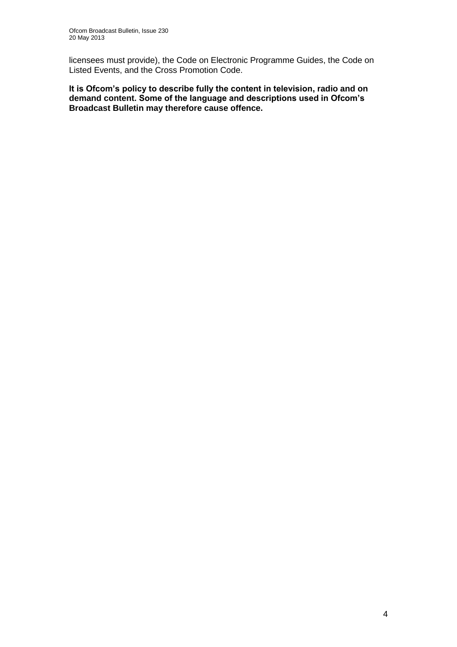licensees must provide), the Code on Electronic Programme Guides, the Code on Listed Events, and the Cross Promotion Code.

**It is Ofcom's policy to describe fully the content in television, radio and on demand content. Some of the language and descriptions used in Ofcom's Broadcast Bulletin may therefore cause offence.**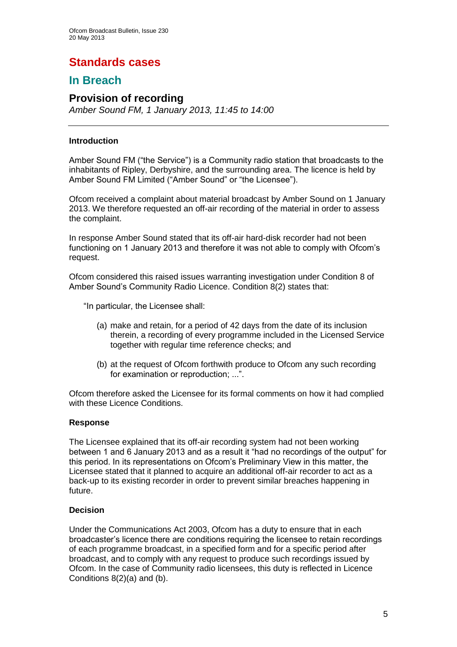# **Standards cases**

# **In Breach**

### **Provision of recording**

*Amber Sound FM, 1 January 2013, 11:45 to 14:00*

### **Introduction**

Amber Sound FM ("the Service") is a Community radio station that broadcasts to the inhabitants of Ripley, Derbyshire, and the surrounding area. The licence is held by Amber Sound FM Limited ("Amber Sound" or "the Licensee").

Ofcom received a complaint about material broadcast by Amber Sound on 1 January 2013. We therefore requested an off-air recording of the material in order to assess the complaint.

In response Amber Sound stated that its off-air hard-disk recorder had not been functioning on 1 January 2013 and therefore it was not able to comply with Ofcom's request.

Ofcom considered this raised issues warranting investigation under Condition 8 of Amber Sound's Community Radio Licence. Condition 8(2) states that:

"In particular, the Licensee shall:

- (a) make and retain, for a period of 42 days from the date of its inclusion therein, a recording of every programme included in the Licensed Service together with regular time reference checks; and
- (b) at the request of Ofcom forthwith produce to Ofcom any such recording for examination or reproduction; ...".

Ofcom therefore asked the Licensee for its formal comments on how it had complied with these Licence Conditions.

### **Response**

The Licensee explained that its off-air recording system had not been working between 1 and 6 January 2013 and as a result it "had no recordings of the output" for this period. In its representations on Ofcom's Preliminary View in this matter, the Licensee stated that it planned to acquire an additional off-air recorder to act as a back-up to its existing recorder in order to prevent similar breaches happening in future.

### **Decision**

Under the Communications Act 2003, Ofcom has a duty to ensure that in each broadcaster's licence there are conditions requiring the licensee to retain recordings of each programme broadcast, in a specified form and for a specific period after broadcast, and to comply with any request to produce such recordings issued by Ofcom. In the case of Community radio licensees, this duty is reflected in Licence Conditions 8(2)(a) and (b).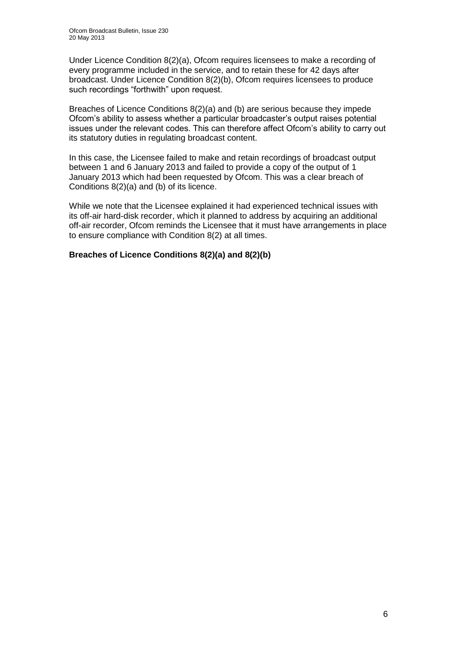Under Licence Condition 8(2)(a), Ofcom requires licensees to make a recording of every programme included in the service, and to retain these for 42 days after broadcast. Under Licence Condition 8(2)(b), Ofcom requires licensees to produce such recordings "forthwith" upon request.

Breaches of Licence Conditions 8(2)(a) and (b) are serious because they impede Ofcom's ability to assess whether a particular broadcaster's output raises potential issues under the relevant codes. This can therefore affect Ofcom's ability to carry out its statutory duties in regulating broadcast content.

In this case, the Licensee failed to make and retain recordings of broadcast output between 1 and 6 January 2013 and failed to provide a copy of the output of 1 January 2013 which had been requested by Ofcom. This was a clear breach of Conditions 8(2)(a) and (b) of its licence.

While we note that the Licensee explained it had experienced technical issues with its off-air hard-disk recorder, which it planned to address by acquiring an additional off-air recorder, Ofcom reminds the Licensee that it must have arrangements in place to ensure compliance with Condition 8(2) at all times.

### **Breaches of Licence Conditions 8(2)(a) and 8(2)(b)**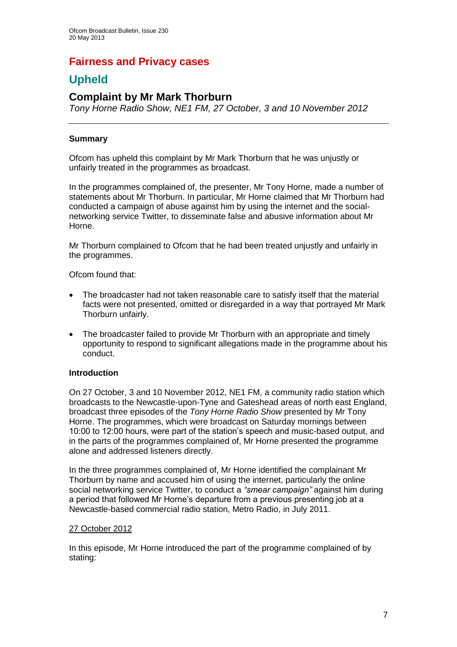# **Fairness and Privacy cases**

# **Upheld**

## **Complaint by Mr Mark Thorburn**

*Tony Horne Radio Show, NE1 FM, 27 October, 3 and 10 November 2012*

### **Summary**

Ofcom has upheld this complaint by Mr Mark Thorburn that he was unjustly or unfairly treated in the programmes as broadcast.

In the programmes complained of, the presenter, Mr Tony Horne, made a number of statements about Mr Thorburn. In particular, Mr Horne claimed that Mr Thorburn had conducted a campaign of abuse against him by using the internet and the socialnetworking service Twitter, to disseminate false and abusive information about Mr Horne.

Mr Thorburn complained to Ofcom that he had been treated unjustly and unfairly in the programmes.

Ofcom found that:

- The broadcaster had not taken reasonable care to satisfy itself that the material facts were not presented, omitted or disregarded in a way that portrayed Mr Mark Thorburn unfairly.
- The broadcaster failed to provide Mr Thorburn with an appropriate and timely opportunity to respond to significant allegations made in the programme about his conduct.

### **Introduction**

On 27 October, 3 and 10 November 2012, NE1 FM, a community radio station which broadcasts to the Newcastle-upon-Tyne and Gateshead areas of north east England, broadcast three episodes of the *Tony Horne Radio Show* presented by Mr Tony Horne. The programmes, which were broadcast on Saturday mornings between 10:00 to 12:00 hours, were part of the station's speech and music-based output, and in the parts of the programmes complained of, Mr Horne presented the programme alone and addressed listeners directly.

In the three programmes complained of, Mr Horne identified the complainant Mr Thorburn by name and accused him of using the internet, particularly the online social networking service Twitter, to conduct a *"smear campaign"* against him during a period that followed Mr Horne's departure from a previous presenting job at a Newcastle-based commercial radio station, Metro Radio, in July 2011.

### 27 October 2012

In this episode, Mr Horne introduced the part of the programme complained of by stating: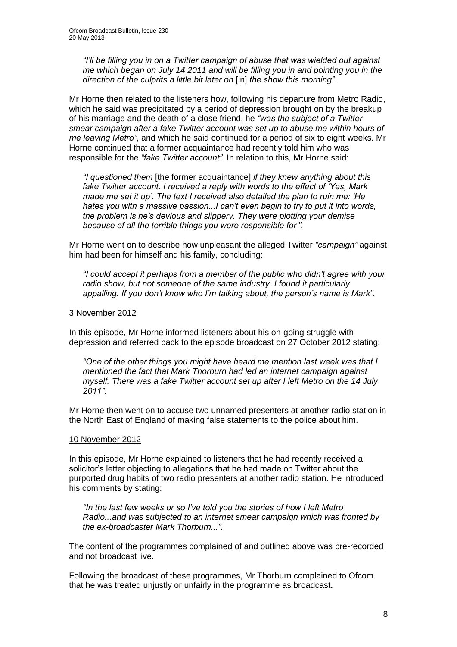*"I'll be filling you in on a Twitter campaign of abuse that was wielded out against me which began on July 14 2011 and will be filling you in and pointing you in the direction of the culprits a little bit later on* [in] *the show this morning".*

Mr Horne then related to the listeners how, following his departure from Metro Radio, which he said was precipitated by a period of depression brought on by the breakup of his marriage and the death of a close friend, he *"was the subject of a Twitter smear campaign after a fake Twitter account was set up to abuse me within hours of me leaving Metro"*, and which he said continued for a period of six to eight weeks. Mr Horne continued that a former acquaintance had recently told him who was responsible for the *"fake Twitter account".* In relation to this, Mr Horne said:

*"I questioned them* [the former acquaintance] *if they knew anything about this fake Twitter account. I received a reply with words to the effect of 'Yes, Mark made me set it up'. The text I received also detailed the plan to ruin me: 'He hates you with a massive passion...I can't even begin to try to put it into words, the problem is he's devious and slippery. They were plotting your demise because of all the terrible things you were responsible for'".* 

Mr Horne went on to describe how unpleasant the alleged Twitter *"campaign"* against him had been for himself and his family, concluding:

*"I could accept it perhaps from a member of the public who didn't agree with your radio show, but not someone of the same industry. I found it particularly appalling. If you don't know who I'm talking about, the person's name is Mark".*

### 3 November 2012

In this episode, Mr Horne informed listeners about his on-going struggle with depression and referred back to the episode broadcast on 27 October 2012 stating:

*"One of the other things you might have heard me mention last week was that I mentioned the fact that Mark Thorburn had led an internet campaign against myself. There was a fake Twitter account set up after I left Metro on the 14 July 2011".*

Mr Horne then went on to accuse two unnamed presenters at another radio station in the North East of England of making false statements to the police about him.

### 10 November 2012

In this episode, Mr Horne explained to listeners that he had recently received a solicitor's letter objecting to allegations that he had made on Twitter about the purported drug habits of two radio presenters at another radio station. He introduced his comments by stating:

*"In the last few weeks or so I've told you the stories of how I left Metro Radio...and was subjected to an internet smear campaign which was fronted by the ex-broadcaster Mark Thorburn...".*

The content of the programmes complained of and outlined above was pre-recorded and not broadcast live.

Following the broadcast of these programmes, Mr Thorburn complained to Ofcom that he was treated unjustly or unfairly in the programme as broadcast**.**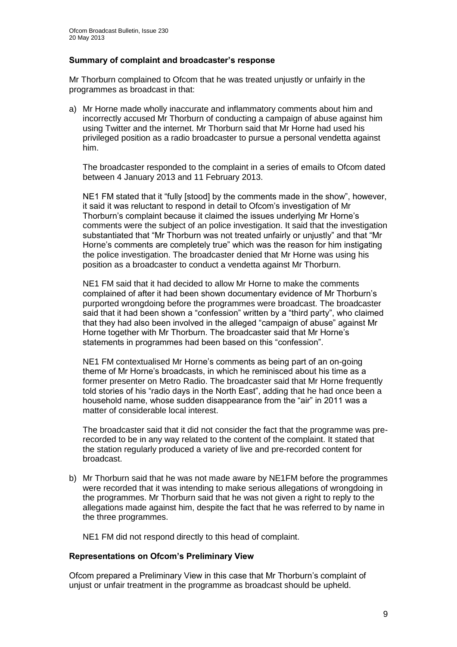### **Summary of complaint and broadcaster's response**

Mr Thorburn complained to Ofcom that he was treated unjustly or unfairly in the programmes as broadcast in that:

a) Mr Horne made wholly inaccurate and inflammatory comments about him and incorrectly accused Mr Thorburn of conducting a campaign of abuse against him using Twitter and the internet. Mr Thorburn said that Mr Horne had used his privileged position as a radio broadcaster to pursue a personal vendetta against him.

The broadcaster responded to the complaint in a series of emails to Ofcom dated between 4 January 2013 and 11 February 2013.

NE1 FM stated that it "fully [stood] by the comments made in the show", however, it said it was reluctant to respond in detail to Ofcom's investigation of Mr Thorburn's complaint because it claimed the issues underlying Mr Horne's comments were the subject of an police investigation. It said that the investigation substantiated that "Mr Thorburn was not treated unfairly or unjustly" and that "Mr Horne's comments are completely true" which was the reason for him instigating the police investigation. The broadcaster denied that Mr Horne was using his position as a broadcaster to conduct a vendetta against Mr Thorburn.

NE1 FM said that it had decided to allow Mr Horne to make the comments complained of after it had been shown documentary evidence of Mr Thorburn's purported wrongdoing before the programmes were broadcast. The broadcaster said that it had been shown a "confession" written by a "third party", who claimed that they had also been involved in the alleged "campaign of abuse" against Mr Horne together with Mr Thorburn. The broadcaster said that Mr Horne's statements in programmes had been based on this "confession".

NE1 FM contextualised Mr Horne's comments as being part of an on-going theme of Mr Horne's broadcasts, in which he reminisced about his time as a former presenter on Metro Radio. The broadcaster said that Mr Horne frequently told stories of his "radio days in the North East", adding that he had once been a household name, whose sudden disappearance from the "air" in 2011 was a matter of considerable local interest.

The broadcaster said that it did not consider the fact that the programme was prerecorded to be in any way related to the content of the complaint. It stated that the station regularly produced a variety of live and pre-recorded content for broadcast.

b) Mr Thorburn said that he was not made aware by NE1FM before the programmes were recorded that it was intending to make serious allegations of wrongdoing in the programmes. Mr Thorburn said that he was not given a right to reply to the allegations made against him, despite the fact that he was referred to by name in the three programmes.

NE1 FM did not respond directly to this head of complaint.

### **Representations on Ofcom's Preliminary View**

Ofcom prepared a Preliminary View in this case that Mr Thorburn's complaint of unjust or unfair treatment in the programme as broadcast should be upheld.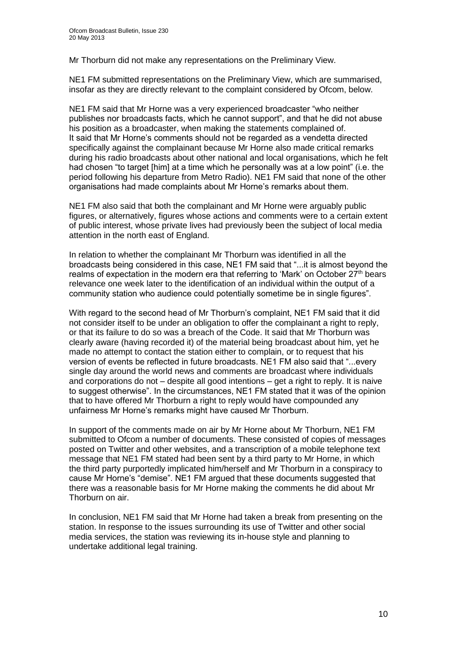Mr Thorburn did not make any representations on the Preliminary View.

NE1 FM submitted representations on the Preliminary View, which are summarised, insofar as they are directly relevant to the complaint considered by Ofcom, below.

NE1 FM said that Mr Horne was a very experienced broadcaster "who neither publishes nor broadcasts facts, which he cannot support", and that he did not abuse his position as a broadcaster, when making the statements complained of. It said that Mr Horne's comments should not be regarded as a vendetta directed specifically against the complainant because Mr Horne also made critical remarks during his radio broadcasts about other national and local organisations, which he felt had chosen "to target [him] at a time which he personally was at a low point" (i.e. the period following his departure from Metro Radio). NE1 FM said that none of the other organisations had made complaints about Mr Horne's remarks about them.

NE1 FM also said that both the complainant and Mr Horne were arguably public figures, or alternatively, figures whose actions and comments were to a certain extent of public interest, whose private lives had previously been the subject of local media attention in the north east of England.

In relation to whether the complainant Mr Thorburn was identified in all the broadcasts being considered in this case, NE1 FM said that "...it is almost beyond the realms of expectation in the modern era that referring to 'Mark' on October 27<sup>th</sup> bears relevance one week later to the identification of an individual within the output of a community station who audience could potentially sometime be in single figures".

With regard to the second head of Mr Thorburn's complaint, NE1 FM said that it did not consider itself to be under an obligation to offer the complainant a right to reply, or that its failure to do so was a breach of the Code. It said that Mr Thorburn was clearly aware (having recorded it) of the material being broadcast about him, yet he made no attempt to contact the station either to complain, or to request that his version of events be reflected in future broadcasts. NE1 FM also said that "...every single day around the world news and comments are broadcast where individuals and corporations do not – despite all good intentions – get a right to reply. It is naive to suggest otherwise". In the circumstances, NE1 FM stated that it was of the opinion that to have offered Mr Thorburn a right to reply would have compounded any unfairness Mr Horne's remarks might have caused Mr Thorburn.

In support of the comments made on air by Mr Horne about Mr Thorburn, NE1 FM submitted to Ofcom a number of documents. These consisted of copies of messages posted on Twitter and other websites, and a transcription of a mobile telephone text message that NE1 FM stated had been sent by a third party to Mr Horne, in which the third party purportedly implicated him/herself and Mr Thorburn in a conspiracy to cause Mr Horne's "demise". NE1 FM argued that these documents suggested that there was a reasonable basis for Mr Horne making the comments he did about Mr Thorburn on air.

In conclusion, NE1 FM said that Mr Horne had taken a break from presenting on the station. In response to the issues surrounding its use of Twitter and other social media services, the station was reviewing its in-house style and planning to undertake additional legal training.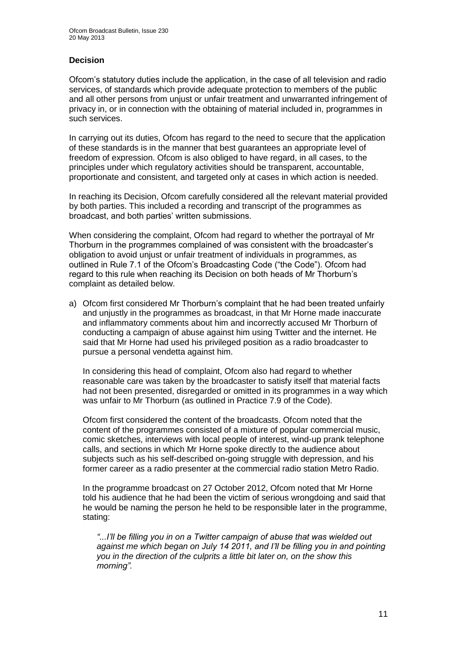### **Decision**

Ofcom's statutory duties include the application, in the case of all television and radio services, of standards which provide adequate protection to members of the public and all other persons from unjust or unfair treatment and unwarranted infringement of privacy in, or in connection with the obtaining of material included in, programmes in such services.

In carrying out its duties, Ofcom has regard to the need to secure that the application of these standards is in the manner that best guarantees an appropriate level of freedom of expression. Ofcom is also obliged to have regard, in all cases, to the principles under which regulatory activities should be transparent, accountable, proportionate and consistent, and targeted only at cases in which action is needed.

In reaching its Decision, Ofcom carefully considered all the relevant material provided by both parties. This included a recording and transcript of the programmes as broadcast, and both parties' written submissions.

When considering the complaint, Ofcom had regard to whether the portrayal of Mr Thorburn in the programmes complained of was consistent with the broadcaster's obligation to avoid unjust or unfair treatment of individuals in programmes, as outlined in Rule 7.1 of the Ofcom's Broadcasting Code ("the Code"). Ofcom had regard to this rule when reaching its Decision on both heads of Mr Thorburn's complaint as detailed below.

a) Ofcom first considered Mr Thorburn's complaint that he had been treated unfairly and unjustly in the programmes as broadcast, in that Mr Horne made inaccurate and inflammatory comments about him and incorrectly accused Mr Thorburn of conducting a campaign of abuse against him using Twitter and the internet. He said that Mr Horne had used his privileged position as a radio broadcaster to pursue a personal vendetta against him.

In considering this head of complaint, Ofcom also had regard to whether reasonable care was taken by the broadcaster to satisfy itself that material facts had not been presented, disregarded or omitted in its programmes in a way which was unfair to Mr Thorburn (as outlined in Practice 7.9 of the Code).

Ofcom first considered the content of the broadcasts. Ofcom noted that the content of the programmes consisted of a mixture of popular commercial music, comic sketches, interviews with local people of interest, wind-up prank telephone calls, and sections in which Mr Horne spoke directly to the audience about subjects such as his self-described on-going struggle with depression, and his former career as a radio presenter at the commercial radio station Metro Radio.

In the programme broadcast on 27 October 2012, Ofcom noted that Mr Horne told his audience that he had been the victim of serious wrongdoing and said that he would be naming the person he held to be responsible later in the programme, stating:

*"...I'll be filling you in on a Twitter campaign of abuse that was wielded out*  against me which began on July 14 2011, and I'll be filling you in and pointing *you in the direction of the culprits a little bit later on, on the show this morning".*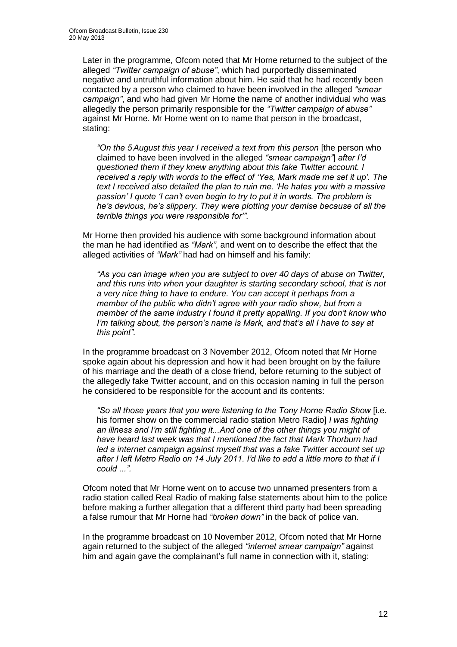Later in the programme, Ofcom noted that Mr Horne returned to the subject of the alleged *"Twitter campaign of abuse"*, which had purportedly disseminated negative and untruthful information about him. He said that he had recently been contacted by a person who claimed to have been involved in the alleged *"smear campaign"*, and who had given Mr Horne the name of another individual who was allegedly the person primarily responsible for the *"Twitter campaign of abuse"* against Mr Horne. Mr Horne went on to name that person in the broadcast, stating:

*"On the 5 August this year I received a text from this person* [the person who claimed to have been involved in the alleged *"smear campaign"*] *after I'd questioned them if they knew anything about this fake Twitter account. I received a reply with words to the effect of 'Yes, Mark made me set it up'. The text I received also detailed the plan to ruin me. 'He hates you with a massive passion' I quote 'I can't even begin to try to put it in words. The problem is he's devious, he's slippery. They were plotting your demise because of all the terrible things you were responsible for'".*

Mr Horne then provided his audience with some background information about the man he had identified as *"Mark"*, and went on to describe the effect that the alleged activities of "Mark" had had on himself and his family:

*"As you can image when you are subject to over 40 days of abuse on Twitter, and this runs into when your daughter is starting secondary school, that is not a very nice thing to have to endure. You can accept it perhaps from a member of the public who didn't agree with your radio show, but from a member of the same industry I found it pretty appalling. If you don't know who I'm talking about, the person's name is Mark, and that's all I have to say at this point".*

In the programme broadcast on 3 November 2012, Ofcom noted that Mr Horne spoke again about his depression and how it had been brought on by the failure of his marriage and the death of a close friend, before returning to the subject of the allegedly fake Twitter account, and on this occasion naming in full the person he considered to be responsible for the account and its contents:

*"So all those years that you were listening to the Tony Horne Radio Show* [i.e. his former show on the commercial radio station Metro Radio] *I was fighting an illness and I'm still fighting it...And one of the other things you might of have heard last week was that I mentioned the fact that Mark Thorburn had*  led a internet campaign against myself that was a fake Twitter account set up *after I left Metro Radio on 14 July 2011. I'd like to add a little more to that if I could ...".*

Ofcom noted that Mr Horne went on to accuse two unnamed presenters from a radio station called Real Radio of making false statements about him to the police before making a further allegation that a different third party had been spreading a false rumour that Mr Horne had *"broken down"* in the back of police van.

In the programme broadcast on 10 November 2012, Ofcom noted that Mr Horne again returned to the subject of the alleged *"internet smear campaign"* against him and again gave the complainant's full name in connection with it, stating: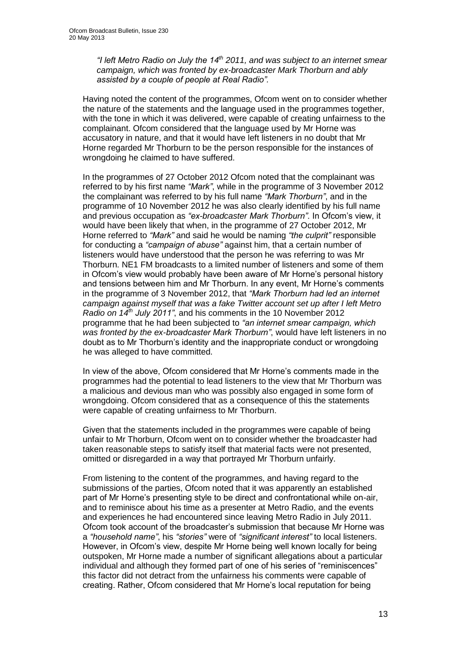*"I left Metro Radio on July the 14th 2011, and was subject to an internet smear campaign, which was fronted by ex-broadcaster Mark Thorburn and ably assisted by a couple of people at Real Radio".*

Having noted the content of the programmes, Ofcom went on to consider whether the nature of the statements and the language used in the programmes together, with the tone in which it was delivered, were capable of creating unfairness to the complainant. Ofcom considered that the language used by Mr Horne was accusatory in nature, and that it would have left listeners in no doubt that Mr Horne regarded Mr Thorburn to be the person responsible for the instances of wrongdoing he claimed to have suffered.

In the programmes of 27 October 2012 Ofcom noted that the complainant was referred to by his first name *"Mark"*, while in the programme of 3 November 2012 the complainant was referred to by his full name *"Mark Thorburn"*, and in the programme of 10 November 2012 he was also clearly identified by his full name and previous occupation as *"ex-broadcaster Mark Thorburn"*. In Ofcom's view, it would have been likely that when, in the programme of 27 October 2012, Mr Horne referred to *"Mark"* and said he would be naming *"the culprit"* responsible for conducting a *"campaign of abuse"* against him, that a certain number of listeners would have understood that the person he was referring to was Mr Thorburn. NE1 FM broadcasts to a limited number of listeners and some of them in Ofcom's view would probably have been aware of Mr Horne's personal history and tensions between him and Mr Thorburn. In any event, Mr Horne's comments in the programme of 3 November 2012, that *"Mark Thorburn had led an internet campaign against myself that was a fake Twitter account set up after I left Metro Radio on 14th July 2011"*, and his comments in the 10 November 2012 programme that he had been subjected to *"an internet smear campaign, which was fronted by the ex-broadcaster Mark Thorburn"*, would have left listeners in no doubt as to Mr Thorburn's identity and the inappropriate conduct or wrongdoing he was alleged to have committed.

In view of the above, Ofcom considered that Mr Horne's comments made in the programmes had the potential to lead listeners to the view that Mr Thorburn was a malicious and devious man who was possibly also engaged in some form of wrongdoing. Ofcom considered that as a consequence of this the statements were capable of creating unfairness to Mr Thorburn.

Given that the statements included in the programmes were capable of being unfair to Mr Thorburn, Ofcom went on to consider whether the broadcaster had taken reasonable steps to satisfy itself that material facts were not presented, omitted or disregarded in a way that portrayed Mr Thorburn unfairly.

From listening to the content of the programmes, and having regard to the submissions of the parties, Ofcom noted that it was apparently an established part of Mr Horne's presenting style to be direct and confrontational while on-air, and to reminisce about his time as a presenter at Metro Radio, and the events and experiences he had encountered since leaving Metro Radio in July 2011. Ofcom took account of the broadcaster's submission that because Mr Horne was a *"household name"*, his *"stories"* were of *"significant interest"* to local listeners. However, in Ofcom's view, despite Mr Horne being well known locally for being outspoken, Mr Horne made a number of significant allegations about a particular individual and although they formed part of one of his series of "reminiscences" this factor did not detract from the unfairness his comments were capable of creating. Rather, Ofcom considered that Mr Horne's local reputation for being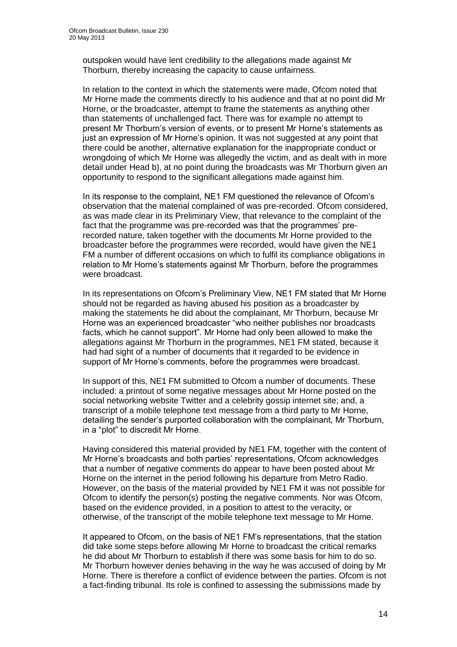outspoken would have lent credibility to the allegations made against Mr Thorburn, thereby increasing the capacity to cause unfairness.

In relation to the context in which the statements were made, Ofcom noted that Mr Horne made the comments directly to his audience and that at no point did Mr Horne, or the broadcaster, attempt to frame the statements as anything other than statements of unchallenged fact. There was for example no attempt to present Mr Thorburn's version of events, or to present Mr Horne's statements as just an expression of Mr Horne's opinion. It was not suggested at any point that there could be another, alternative explanation for the inappropriate conduct or wrongdoing of which Mr Horne was allegedly the victim, and as dealt with in more detail under Head b), at no point during the broadcasts was Mr Thorburn given an opportunity to respond to the significant allegations made against him.

In its response to the complaint, NE1 FM questioned the relevance of Ofcom's observation that the material complained of was pre-recorded. Ofcom considered, as was made clear in its Preliminary View, that relevance to the complaint of the fact that the programme was pre-recorded was that the programmes' prerecorded nature, taken together with the documents Mr Horne provided to the broadcaster before the programmes were recorded, would have given the NE1 FM a number of different occasions on which to fulfil its compliance obligations in relation to Mr Horne's statements against Mr Thorburn, before the programmes were broadcast.

In its representations on Ofcom's Preliminary View, NE1 FM stated that Mr Horne should not be regarded as having abused his position as a broadcaster by making the statements he did about the complainant, Mr Thorburn, because Mr Horne was an experienced broadcaster "who neither publishes nor broadcasts facts, which he cannot support". Mr Horne had only been allowed to make the allegations against Mr Thorburn in the programmes, NE1 FM stated, because it had had sight of a number of documents that it regarded to be evidence in support of Mr Horne's comments, before the programmes were broadcast.

In support of this, NE1 FM submitted to Ofcom a number of documents. These included: a printout of some negative messages about Mr Horne posted on the social networking website Twitter and a celebrity gossip internet site; and, a transcript of a mobile telephone text message from a third party to Mr Horne, detailing the sender's purported collaboration with the complainant, Mr Thorburn, in a "plot" to discredit Mr Horne.

Having considered this material provided by NE1 FM, together with the content of Mr Horne's broadcasts and both parties' representations, Ofcom acknowledges that a number of negative comments do appear to have been posted about Mr Horne on the internet in the period following his departure from Metro Radio. However, on the basis of the material provided by NE1 FM it was not possible for Ofcom to identify the person(s) posting the negative comments. Nor was Ofcom, based on the evidence provided, in a position to attest to the veracity, or otherwise, of the transcript of the mobile telephone text message to Mr Horne.

It appeared to Ofcom, on the basis of NE1 FM's representations, that the station did take some steps before allowing Mr Horne to broadcast the critical remarks he did about Mr Thorburn to establish if there was some basis for him to do so. Mr Thorburn however denies behaving in the way he was accused of doing by Mr Horne. There is therefore a conflict of evidence between the parties. Ofcom is not a fact-finding tribunal. Its role is confined to assessing the submissions made by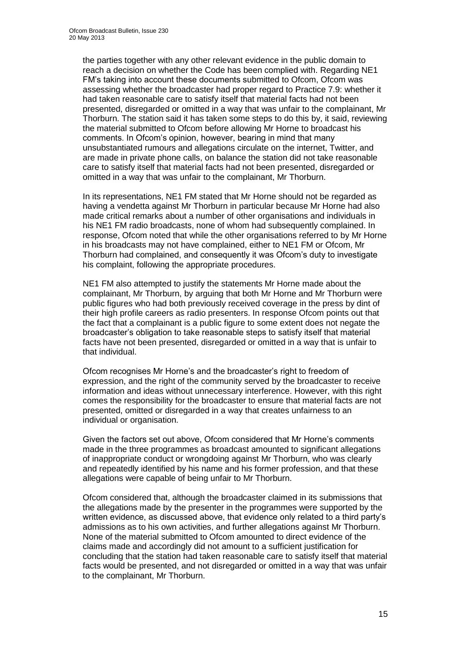the parties together with any other relevant evidence in the public domain to reach a decision on whether the Code has been complied with. Regarding NE1 FM's taking into account these documents submitted to Ofcom, Ofcom was assessing whether the broadcaster had proper regard to Practice 7.9: whether it had taken reasonable care to satisfy itself that material facts had not been presented, disregarded or omitted in a way that was unfair to the complainant, Mr Thorburn. The station said it has taken some steps to do this by, it said, reviewing the material submitted to Ofcom before allowing Mr Horne to broadcast his comments. In Ofcom's opinion, however, bearing in mind that many unsubstantiated rumours and allegations circulate on the internet, Twitter, and are made in private phone calls, on balance the station did not take reasonable care to satisfy itself that material facts had not been presented, disregarded or omitted in a way that was unfair to the complainant, Mr Thorburn.

In its representations, NE1 FM stated that Mr Horne should not be regarded as having a vendetta against Mr Thorburn in particular because Mr Horne had also made critical remarks about a number of other organisations and individuals in his NE1 FM radio broadcasts, none of whom had subsequently complained. In response, Ofcom noted that while the other organisations referred to by Mr Horne in his broadcasts may not have complained, either to NE1 FM or Ofcom, Mr Thorburn had complained, and consequently it was Ofcom's duty to investigate his complaint, following the appropriate procedures.

NE1 FM also attempted to justify the statements Mr Horne made about the complainant, Mr Thorburn, by arguing that both Mr Horne and Mr Thorburn were public figures who had both previously received coverage in the press by dint of their high profile careers as radio presenters. In response Ofcom points out that the fact that a complainant is a public figure to some extent does not negate the broadcaster's obligation to take reasonable steps to satisfy itself that material facts have not been presented, disregarded or omitted in a way that is unfair to that individual.

Ofcom recognises Mr Horne's and the broadcaster's right to freedom of expression, and the right of the community served by the broadcaster to receive information and ideas without unnecessary interference. However, with this right comes the responsibility for the broadcaster to ensure that material facts are not presented, omitted or disregarded in a way that creates unfairness to an individual or organisation.

Given the factors set out above, Ofcom considered that Mr Horne's comments made in the three programmes as broadcast amounted to significant allegations of inappropriate conduct or wrongdoing against Mr Thorburn, who was clearly and repeatedly identified by his name and his former profession, and that these allegations were capable of being unfair to Mr Thorburn.

Ofcom considered that, although the broadcaster claimed in its submissions that the allegations made by the presenter in the programmes were supported by the written evidence, as discussed above, that evidence only related to a third party's admissions as to his own activities, and further allegations against Mr Thorburn. None of the material submitted to Ofcom amounted to direct evidence of the claims made and accordingly did not amount to a sufficient justification for concluding that the station had taken reasonable care to satisfy itself that material facts would be presented, and not disregarded or omitted in a way that was unfair to the complainant, Mr Thorburn.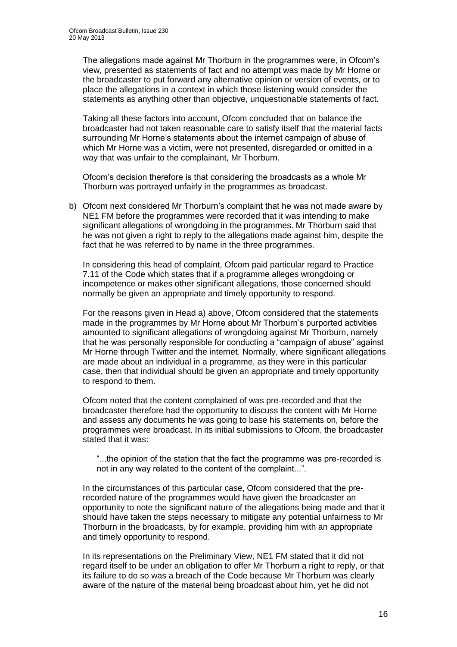The allegations made against Mr Thorburn in the programmes were, in Ofcom's view, presented as statements of fact and no attempt was made by Mr Horne or the broadcaster to put forward any alternative opinion or version of events, or to place the allegations in a context in which those listening would consider the statements as anything other than objective, unquestionable statements of fact.

Taking all these factors into account, Ofcom concluded that on balance the broadcaster had not taken reasonable care to satisfy itself that the material facts surrounding Mr Horne's statements about the internet campaign of abuse of which Mr Horne was a victim, were not presented, disregarded or omitted in a way that was unfair to the complainant, Mr Thorburn.

Ofcom's decision therefore is that considering the broadcasts as a whole Mr Thorburn was portrayed unfairly in the programmes as broadcast.

b) Ofcom next considered Mr Thorburn's complaint that he was not made aware by NE1 FM before the programmes were recorded that it was intending to make significant allegations of wrongdoing in the programmes. Mr Thorburn said that he was not given a right to reply to the allegations made against him, despite the fact that he was referred to by name in the three programmes.

In considering this head of complaint, Ofcom paid particular regard to Practice 7.11 of the Code which states that if a programme alleges wrongdoing or incompetence or makes other significant allegations, those concerned should normally be given an appropriate and timely opportunity to respond.

For the reasons given in Head a) above, Ofcom considered that the statements made in the programmes by Mr Horne about Mr Thorburn's purported activities amounted to significant allegations of wrongdoing against Mr Thorburn, namely that he was personally responsible for conducting a "campaign of abuse" against Mr Horne through Twitter and the internet. Normally, where significant allegations are made about an individual in a programme, as they were in this particular case, then that individual should be given an appropriate and timely opportunity to respond to them.

Ofcom noted that the content complained of was pre-recorded and that the broadcaster therefore had the opportunity to discuss the content with Mr Horne and assess any documents he was going to base his statements on, before the programmes were broadcast. In its initial submissions to Ofcom, the broadcaster stated that it was:

"...the opinion of the station that the fact the programme was pre-recorded is not in any way related to the content of the complaint...".

In the circumstances of this particular case, Ofcom considered that the prerecorded nature of the programmes would have given the broadcaster an opportunity to note the significant nature of the allegations being made and that it should have taken the steps necessary to mitigate any potential unfairness to Mr Thorburn in the broadcasts, by for example, providing him with an appropriate and timely opportunity to respond.

In its representations on the Preliminary View, NE1 FM stated that it did not regard itself to be under an obligation to offer Mr Thorburn a right to reply, or that its failure to do so was a breach of the Code because Mr Thorburn was clearly aware of the nature of the material being broadcast about him, yet he did not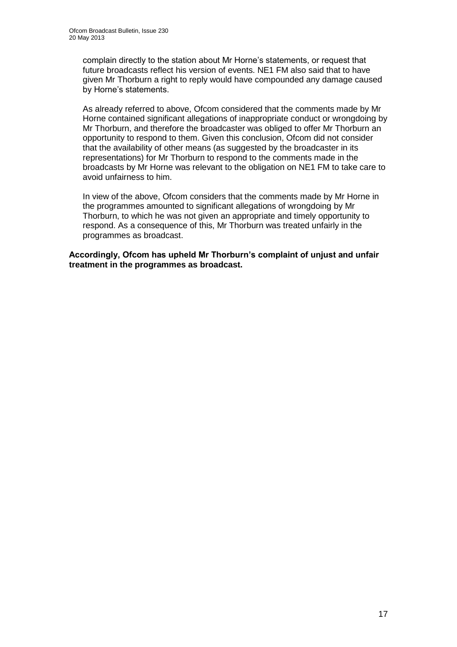complain directly to the station about Mr Horne's statements, or request that future broadcasts reflect his version of events. NE1 FM also said that to have given Mr Thorburn a right to reply would have compounded any damage caused by Horne's statements.

As already referred to above, Ofcom considered that the comments made by Mr Horne contained significant allegations of inappropriate conduct or wrongdoing by Mr Thorburn, and therefore the broadcaster was obliged to offer Mr Thorburn an opportunity to respond to them. Given this conclusion, Ofcom did not consider that the availability of other means (as suggested by the broadcaster in its representations) for Mr Thorburn to respond to the comments made in the broadcasts by Mr Horne was relevant to the obligation on NE1 FM to take care to avoid unfairness to him.

In view of the above, Ofcom considers that the comments made by Mr Horne in the programmes amounted to significant allegations of wrongdoing by Mr Thorburn, to which he was not given an appropriate and timely opportunity to respond. As a consequence of this, Mr Thorburn was treated unfairly in the programmes as broadcast.

**Accordingly, Ofcom has upheld Mr Thorburn's complaint of unjust and unfair treatment in the programmes as broadcast.**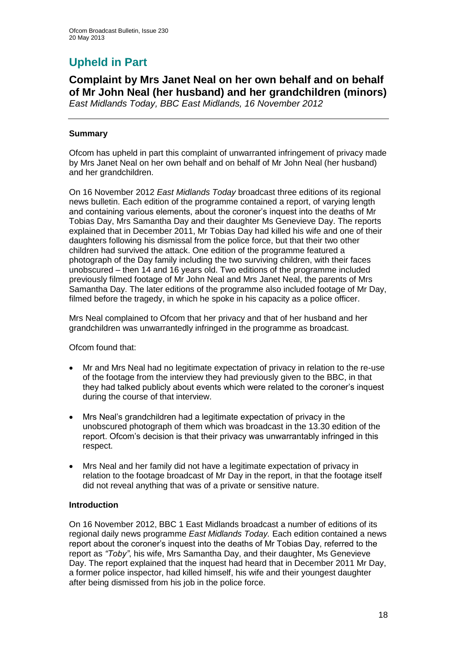# **Upheld in Part**

**Complaint by Mrs Janet Neal on her own behalf and on behalf of Mr John Neal (her husband) and her grandchildren (minors)** *East Midlands Today, BBC East Midlands, 16 November 2012*

### **Summary**

Ofcom has upheld in part this complaint of unwarranted infringement of privacy made by Mrs Janet Neal on her own behalf and on behalf of Mr John Neal (her husband) and her grandchildren.

On 16 November 2012 *East Midlands Today* broadcast three editions of its regional news bulletin. Each edition of the programme contained a report, of varying length and containing various elements, about the coroner's inquest into the deaths of Mr Tobias Day, Mrs Samantha Day and their daughter Ms Genevieve Day. The reports explained that in December 2011, Mr Tobias Day had killed his wife and one of their daughters following his dismissal from the police force, but that their two other children had survived the attack. One edition of the programme featured a photograph of the Day family including the two surviving children, with their faces unobscured – then 14 and 16 years old. Two editions of the programme included previously filmed footage of Mr John Neal and Mrs Janet Neal, the parents of Mrs Samantha Day. The later editions of the programme also included footage of Mr Day, filmed before the tragedy, in which he spoke in his capacity as a police officer.

Mrs Neal complained to Ofcom that her privacy and that of her husband and her grandchildren was unwarrantedly infringed in the programme as broadcast.

Ofcom found that:

- Mr and Mrs Neal had no legitimate expectation of privacy in relation to the re-use of the footage from the interview they had previously given to the BBC, in that they had talked publicly about events which were related to the coroner's inquest during the course of that interview.
- Mrs Neal's grandchildren had a legitimate expectation of privacy in the unobscured photograph of them which was broadcast in the 13.30 edition of the report. Ofcom's decision is that their privacy was unwarrantably infringed in this respect.
- Mrs Neal and her family did not have a legitimate expectation of privacy in relation to the footage broadcast of Mr Day in the report, in that the footage itself did not reveal anything that was of a private or sensitive nature.

### **Introduction**

On 16 November 2012, BBC 1 East Midlands broadcast a number of editions of its regional daily news programme *East Midlands Today.* Each edition contained a news report about the coroner's inquest into the deaths of Mr Tobias Day, referred to the report as *"Toby"*, his wife, Mrs Samantha Day, and their daughter, Ms Genevieve Day. The report explained that the inquest had heard that in December 2011 Mr Day, a former police inspector, had killed himself, his wife and their youngest daughter after being dismissed from his job in the police force.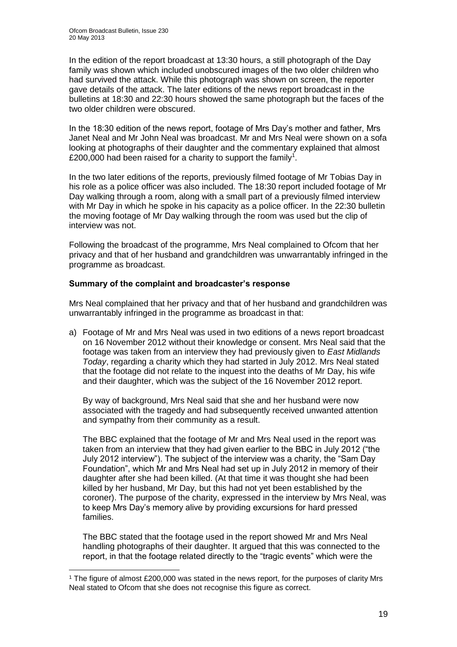<u>.</u>

In the edition of the report broadcast at 13:30 hours, a still photograph of the Day family was shown which included unobscured images of the two older children who had survived the attack. While this photograph was shown on screen, the reporter gave details of the attack. The later editions of the news report broadcast in the bulletins at 18:30 and 22:30 hours showed the same photograph but the faces of the two older children were obscured.

In the 18:30 edition of the news report, footage of Mrs Day's mother and father, Mrs Janet Neal and Mr John Neal was broadcast. Mr and Mrs Neal were shown on a sofa looking at photographs of their daughter and the commentary explained that almost £200,000 had been raised for a charity to support the family<sup>1</sup>.

In the two later editions of the reports, previously filmed footage of Mr Tobias Day in his role as a police officer was also included. The 18:30 report included footage of Mr Day walking through a room, along with a small part of a previously filmed interview with Mr Day in which he spoke in his capacity as a police officer. In the 22:30 bulletin the moving footage of Mr Day walking through the room was used but the clip of interview was not.

Following the broadcast of the programme, Mrs Neal complained to Ofcom that her privacy and that of her husband and grandchildren was unwarrantably infringed in the programme as broadcast.

### **Summary of the complaint and broadcaster's response**

Mrs Neal complained that her privacy and that of her husband and grandchildren was unwarrantably infringed in the programme as broadcast in that:

a) Footage of Mr and Mrs Neal was used in two editions of a news report broadcast on 16 November 2012 without their knowledge or consent. Mrs Neal said that the footage was taken from an interview they had previously given to *East Midlands Today*, regarding a charity which they had started in July 2012. Mrs Neal stated that the footage did not relate to the inquest into the deaths of Mr Day, his wife and their daughter, which was the subject of the 16 November 2012 report.

By way of background, Mrs Neal said that she and her husband were now associated with the tragedy and had subsequently received unwanted attention and sympathy from their community as a result.

The BBC explained that the footage of Mr and Mrs Neal used in the report was taken from an interview that they had given earlier to the BBC in July 2012 ("the July 2012 interview"). The subject of the interview was a charity, the "Sam Day Foundation", which Mr and Mrs Neal had set up in July 2012 in memory of their daughter after she had been killed. (At that time it was thought she had been killed by her husband, Mr Day, but this had not yet been established by the coroner). The purpose of the charity, expressed in the interview by Mrs Neal, was to keep Mrs Day's memory alive by providing excursions for hard pressed families.

The BBC stated that the footage used in the report showed Mr and Mrs Neal handling photographs of their daughter. It argued that this was connected to the report, in that the footage related directly to the "tragic events" which were the

<sup>1</sup> The figure of almost £200,000 was stated in the news report, for the purposes of clarity Mrs Neal stated to Ofcom that she does not recognise this figure as correct.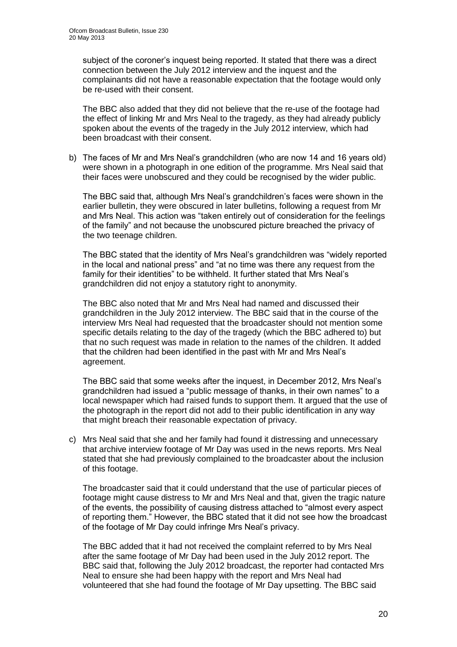subject of the coroner's inquest being reported. It stated that there was a direct connection between the July 2012 interview and the inquest and the complainants did not have a reasonable expectation that the footage would only be re-used with their consent.

The BBC also added that they did not believe that the re-use of the footage had the effect of linking Mr and Mrs Neal to the tragedy, as they had already publicly spoken about the events of the tragedy in the July 2012 interview, which had been broadcast with their consent.

b) The faces of Mr and Mrs Neal's grandchildren (who are now 14 and 16 years old) were shown in a photograph in one edition of the programme. Mrs Neal said that their faces were unobscured and they could be recognised by the wider public.

The BBC said that, although Mrs Neal's grandchildren's faces were shown in the earlier bulletin, they were obscured in later bulletins, following a request from Mr and Mrs Neal. This action was "taken entirely out of consideration for the feelings of the family" and not because the unobscured picture breached the privacy of the two teenage children.

The BBC stated that the identity of Mrs Neal's grandchildren was "widely reported in the local and national press" and "at no time was there any request from the family for their identities" to be withheld. It further stated that Mrs Neal's grandchildren did not enjoy a statutory right to anonymity.

The BBC also noted that Mr and Mrs Neal had named and discussed their grandchildren in the July 2012 interview. The BBC said that in the course of the interview Mrs Neal had requested that the broadcaster should not mention some specific details relating to the day of the tragedy (which the BBC adhered to) but that no such request was made in relation to the names of the children. It added that the children had been identified in the past with Mr and Mrs Neal's agreement.

The BBC said that some weeks after the inquest, in December 2012, Mrs Neal's grandchildren had issued a "public message of thanks, in their own names" to a local newspaper which had raised funds to support them. It argued that the use of the photograph in the report did not add to their public identification in any way that might breach their reasonable expectation of privacy.

c) Mrs Neal said that she and her family had found it distressing and unnecessary that archive interview footage of Mr Day was used in the news reports. Mrs Neal stated that she had previously complained to the broadcaster about the inclusion of this footage.

The broadcaster said that it could understand that the use of particular pieces of footage might cause distress to Mr and Mrs Neal and that, given the tragic nature of the events, the possibility of causing distress attached to "almost every aspect of reporting them." However, the BBC stated that it did not see how the broadcast of the footage of Mr Day could infringe Mrs Neal's privacy.

The BBC added that it had not received the complaint referred to by Mrs Neal after the same footage of Mr Day had been used in the July 2012 report. The BBC said that, following the July 2012 broadcast, the reporter had contacted Mrs Neal to ensure she had been happy with the report and Mrs Neal had volunteered that she had found the footage of Mr Day upsetting. The BBC said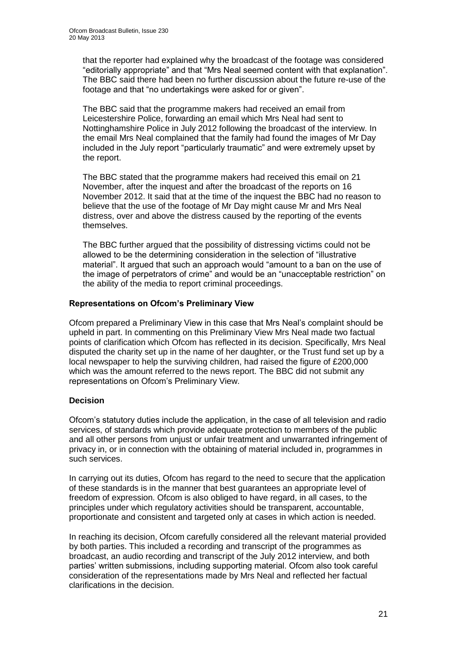that the reporter had explained why the broadcast of the footage was considered "editorially appropriate" and that "Mrs Neal seemed content with that explanation". The BBC said there had been no further discussion about the future re-use of the footage and that "no undertakings were asked for or given".

The BBC said that the programme makers had received an email from Leicestershire Police, forwarding an email which Mrs Neal had sent to Nottinghamshire Police in July 2012 following the broadcast of the interview. In the email Mrs Neal complained that the family had found the images of Mr Day included in the July report "particularly traumatic" and were extremely upset by the report.

The BBC stated that the programme makers had received this email on 21 November, after the inquest and after the broadcast of the reports on 16 November 2012. It said that at the time of the inquest the BBC had no reason to believe that the use of the footage of Mr Day might cause Mr and Mrs Neal distress, over and above the distress caused by the reporting of the events themselves.

The BBC further argued that the possibility of distressing victims could not be allowed to be the determining consideration in the selection of "illustrative material". It argued that such an approach would "amount to a ban on the use of the image of perpetrators of crime" and would be an "unacceptable restriction" on the ability of the media to report criminal proceedings.

### **Representations on Ofcom's Preliminary View**

Ofcom prepared a Preliminary View in this case that Mrs Neal's complaint should be upheld in part. In commenting on this Preliminary View Mrs Neal made two factual points of clarification which Ofcom has reflected in its decision. Specifically, Mrs Neal disputed the charity set up in the name of her daughter, or the Trust fund set up by a local newspaper to help the surviving children, had raised the figure of £200,000 which was the amount referred to the news report. The BBC did not submit any representations on Ofcom's Preliminary View.

### **Decision**

Ofcom's statutory duties include the application, in the case of all television and radio services, of standards which provide adequate protection to members of the public and all other persons from unjust or unfair treatment and unwarranted infringement of privacy in, or in connection with the obtaining of material included in, programmes in such services.

In carrying out its duties, Ofcom has regard to the need to secure that the application of these standards is in the manner that best guarantees an appropriate level of freedom of expression. Ofcom is also obliged to have regard, in all cases, to the principles under which regulatory activities should be transparent, accountable, proportionate and consistent and targeted only at cases in which action is needed.

In reaching its decision, Ofcom carefully considered all the relevant material provided by both parties. This included a recording and transcript of the programmes as broadcast, an audio recording and transcript of the July 2012 interview, and both parties' written submissions, including supporting material. Ofcom also took careful consideration of the representations made by Mrs Neal and reflected her factual clarifications in the decision.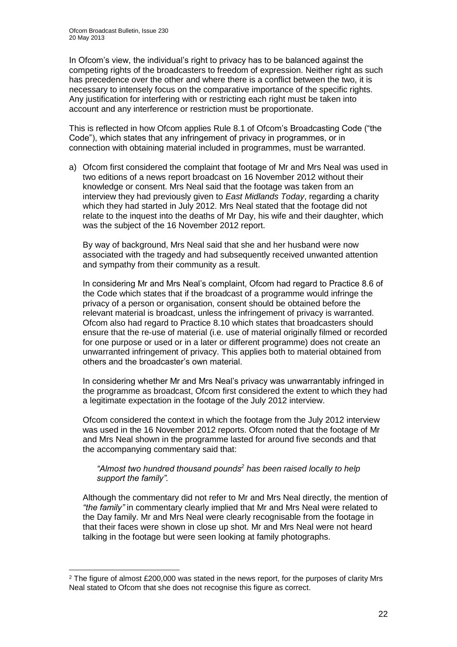<u>.</u>

In Ofcom's view, the individual's right to privacy has to be balanced against the competing rights of the broadcasters to freedom of expression. Neither right as such has precedence over the other and where there is a conflict between the two, it is necessary to intensely focus on the comparative importance of the specific rights. Any justification for interfering with or restricting each right must be taken into account and any interference or restriction must be proportionate.

This is reflected in how Ofcom applies Rule 8.1 of Ofcom's Broadcasting Code ("the Code"), which states that any infringement of privacy in programmes, or in connection with obtaining material included in programmes, must be warranted.

a) Ofcom first considered the complaint that footage of Mr and Mrs Neal was used in two editions of a news report broadcast on 16 November 2012 without their knowledge or consent. Mrs Neal said that the footage was taken from an interview they had previously given to *East Midlands Today*, regarding a charity which they had started in July 2012. Mrs Neal stated that the footage did not relate to the inquest into the deaths of Mr Day, his wife and their daughter, which was the subject of the 16 November 2012 report.

By way of background. Mrs Neal said that she and her husband were now associated with the tragedy and had subsequently received unwanted attention and sympathy from their community as a result.

In considering Mr and Mrs Neal's complaint, Ofcom had regard to Practice 8.6 of the Code which states that if the broadcast of a programme would infringe the privacy of a person or organisation, consent should be obtained before the relevant material is broadcast, unless the infringement of privacy is warranted. Ofcom also had regard to Practice 8.10 which states that broadcasters should ensure that the re-use of material (i.e. use of material originally filmed or recorded for one purpose or used or in a later or different programme) does not create an unwarranted infringement of privacy. This applies both to material obtained from others and the broadcaster's own material.

In considering whether Mr and Mrs Neal's privacy was unwarrantably infringed in the programme as broadcast, Ofcom first considered the extent to which they had a legitimate expectation in the footage of the July 2012 interview.

Ofcom considered the context in which the footage from the July 2012 interview was used in the 16 November 2012 reports. Ofcom noted that the footage of Mr and Mrs Neal shown in the programme lasted for around five seconds and that the accompanying commentary said that:

### *"Almost two hundred thousand pounds<sup>2</sup> has been raised locally to help support the family".*

Although the commentary did not refer to Mr and Mrs Neal directly, the mention of *"the family"* in commentary clearly implied that Mr and Mrs Neal were related to the Day family. Mr and Mrs Neal were clearly recognisable from the footage in that their faces were shown in close up shot. Mr and Mrs Neal were not heard talking in the footage but were seen looking at family photographs.

 $2$  The figure of almost £200,000 was stated in the news report, for the purposes of clarity Mrs Neal stated to Ofcom that she does not recognise this figure as correct.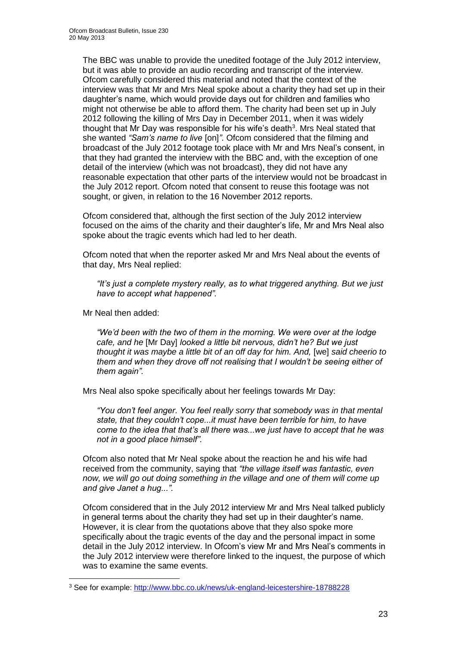The BBC was unable to provide the unedited footage of the July 2012 interview, but it was able to provide an audio recording and transcript of the interview. Ofcom carefully considered this material and noted that the context of the interview was that Mr and Mrs Neal spoke about a charity they had set up in their daughter's name, which would provide days out for children and families who might not otherwise be able to afford them. The charity had been set up in July 2012 following the killing of Mrs Day in December 2011, when it was widely thought that Mr Day was responsible for his wife's death<sup>3</sup>. Mrs Neal stated that she wanted *"Sam's name to live* [on]*"*. Ofcom considered that the filming and broadcast of the July 2012 footage took place with Mr and Mrs Neal's consent, in that they had granted the interview with the BBC and, with the exception of one detail of the interview (which was not broadcast), they did not have any reasonable expectation that other parts of the interview would not be broadcast in the July 2012 report. Ofcom noted that consent to reuse this footage was not sought, or given, in relation to the 16 November 2012 reports.

Ofcom considered that, although the first section of the July 2012 interview focused on the aims of the charity and their daughter's life, Mr and Mrs Neal also spoke about the tragic events which had led to her death.

Ofcom noted that when the reporter asked Mr and Mrs Neal about the events of that day, Mrs Neal replied:

*"It's just a complete mystery really, as to what triggered anything. But we just have to accept what happened".* 

Mr Neal then added:

1

*"We'd been with the two of them in the morning. We were over at the lodge cafe, and he* [Mr Day] *looked a little bit nervous, didn't he? But we just thought it was maybe a little bit of an off day for him. And,* [we] *said cheerio to them and when they drove off not realising that I wouldn't be seeing either of them again".* 

Mrs Neal also spoke specifically about her feelings towards Mr Day:

*"You don't feel anger. You feel really sorry that somebody was in that mental state, that they couldn't cope...it must have been terrible for him, to have come to the idea that that's all there was...we just have to accept that he was not in a good place himself".* 

Ofcom also noted that Mr Neal spoke about the reaction he and his wife had received from the community, saying that *"the village itself was fantastic, even now, we will go out doing something in the village and one of them will come up and give Janet a hug...".* 

Ofcom considered that in the July 2012 interview Mr and Mrs Neal talked publicly in general terms about the charity they had set up in their daughter's name. However, it is clear from the quotations above that they also spoke more specifically about the tragic events of the day and the personal impact in some detail in the July 2012 interview. In Ofcom's view Mr and Mrs Neal's comments in the July 2012 interview were therefore linked to the inquest, the purpose of which was to examine the same events.

<sup>3</sup> See for example:<http://www.bbc.co.uk/news/uk-england-leicestershire-18788228>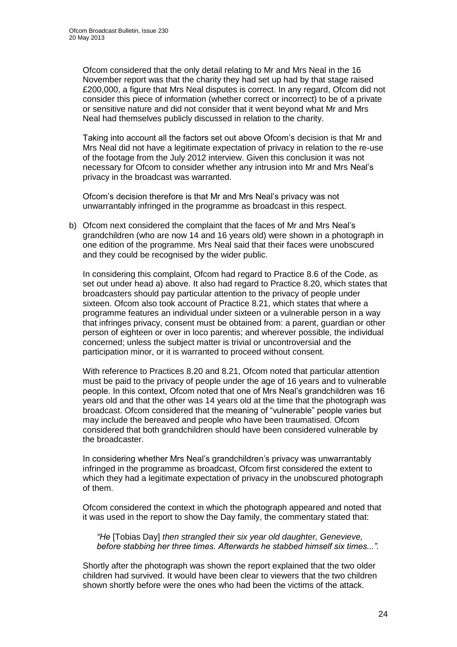Ofcom considered that the only detail relating to Mr and Mrs Neal in the 16 November report was that the charity they had set up had by that stage raised £200,000, a figure that Mrs Neal disputes is correct. In any regard, Ofcom did not consider this piece of information (whether correct or incorrect) to be of a private or sensitive nature and did not consider that it went beyond what Mr and Mrs Neal had themselves publicly discussed in relation to the charity.

Taking into account all the factors set out above Ofcom's decision is that Mr and Mrs Neal did not have a legitimate expectation of privacy in relation to the re-use of the footage from the July 2012 interview. Given this conclusion it was not necessary for Ofcom to consider whether any intrusion into Mr and Mrs Neal's privacy in the broadcast was warranted.

Ofcom's decision therefore is that Mr and Mrs Neal's privacy was not unwarrantably infringed in the programme as broadcast in this respect.

b) Ofcom next considered the complaint that the faces of Mr and Mrs Neal's grandchildren (who are now 14 and 16 years old) were shown in a photograph in one edition of the programme. Mrs Neal said that their faces were unobscured and they could be recognised by the wider public.

In considering this complaint, Ofcom had regard to Practice 8.6 of the Code, as set out under head a) above. It also had regard to Practice 8.20, which states that broadcasters should pay particular attention to the privacy of people under sixteen. Ofcom also took account of Practice 8.21, which states that where a programme features an individual under sixteen or a vulnerable person in a way that infringes privacy, consent must be obtained from: a parent, guardian or other person of eighteen or over in loco parentis; and wherever possible, the individual concerned; unless the subject matter is trivial or uncontroversial and the participation minor, or it is warranted to proceed without consent.

With reference to Practices 8.20 and 8.21, Ofcom noted that particular attention must be paid to the privacy of people under the age of 16 years and to vulnerable people. In this context, Ofcom noted that one of Mrs Neal's grandchildren was 16 years old and that the other was 14 years old at the time that the photograph was broadcast. Ofcom considered that the meaning of "vulnerable" people varies but may include the bereaved and people who have been traumatised. Ofcom considered that both grandchildren should have been considered vulnerable by the broadcaster.

In considering whether Mrs Neal's grandchildren's privacy was unwarrantably infringed in the programme as broadcast, Ofcom first considered the extent to which they had a legitimate expectation of privacy in the unobscured photograph of them.

Ofcom considered the context in which the photograph appeared and noted that it was used in the report to show the Day family, the commentary stated that:

*"He* [Tobias Day] *then strangled their six year old daughter, Genevieve, before stabbing her three times. Afterwards he stabbed himself six times...".*

Shortly after the photograph was shown the report explained that the two older children had survived. It would have been clear to viewers that the two children shown shortly before were the ones who had been the victims of the attack.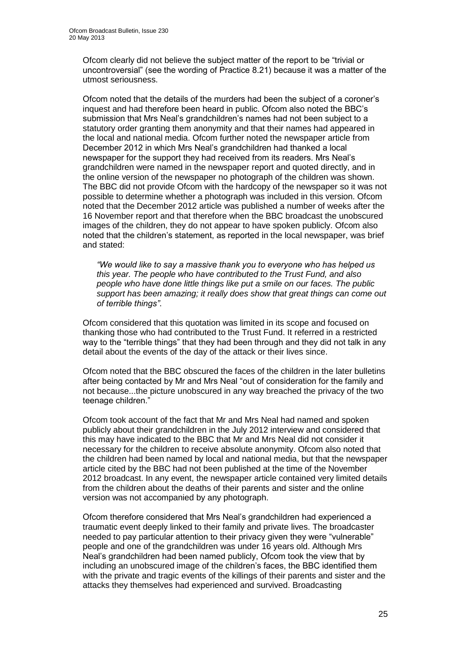Ofcom clearly did not believe the subject matter of the report to be "trivial or uncontroversial" (see the wording of Practice 8.21) because it was a matter of the utmost seriousness.

Ofcom noted that the details of the murders had been the subject of a coroner's inquest and had therefore been heard in public. Ofcom also noted the BBC's submission that Mrs Neal's grandchildren's names had not been subject to a statutory order granting them anonymity and that their names had appeared in the local and national media. Ofcom further noted the newspaper article from December 2012 in which Mrs Neal's grandchildren had thanked a local newspaper for the support they had received from its readers. Mrs Neal's grandchildren were named in the newspaper report and quoted directly, and in the online version of the newspaper no photograph of the children was shown. The BBC did not provide Ofcom with the hardcopy of the newspaper so it was not possible to determine whether a photograph was included in this version. Ofcom noted that the December 2012 article was published a number of weeks after the 16 November report and that therefore when the BBC broadcast the unobscured images of the children, they do not appear to have spoken publicly. Ofcom also noted that the children's statement, as reported in the local newspaper, was brief and stated:

*"We would like to say a massive thank you to everyone who has helped us this year. The people who have contributed to the Trust Fund, and also people who have done little things like put a smile on our faces. The public support has been amazing; it really does show that great things can come out of terrible things"*.

Ofcom considered that this quotation was limited in its scope and focused on thanking those who had contributed to the Trust Fund. It referred in a restricted way to the "terrible things" that they had been through and they did not talk in any detail about the events of the day of the attack or their lives since.

Ofcom noted that the BBC obscured the faces of the children in the later bulletins after being contacted by Mr and Mrs Neal "out of consideration for the family and not because...the picture unobscured in any way breached the privacy of the two teenage children."

Ofcom took account of the fact that Mr and Mrs Neal had named and spoken publicly about their grandchildren in the July 2012 interview and considered that this may have indicated to the BBC that Mr and Mrs Neal did not consider it necessary for the children to receive absolute anonymity. Ofcom also noted that the children had been named by local and national media, but that the newspaper article cited by the BBC had not been published at the time of the November 2012 broadcast. In any event, the newspaper article contained very limited details from the children about the deaths of their parents and sister and the online version was not accompanied by any photograph.

Ofcom therefore considered that Mrs Neal's grandchildren had experienced a traumatic event deeply linked to their family and private lives. The broadcaster needed to pay particular attention to their privacy given they were "vulnerable" people and one of the grandchildren was under 16 years old. Although Mrs Neal's grandchildren had been named publicly, Ofcom took the view that by including an unobscured image of the children's faces, the BBC identified them with the private and tragic events of the killings of their parents and sister and the attacks they themselves had experienced and survived. Broadcasting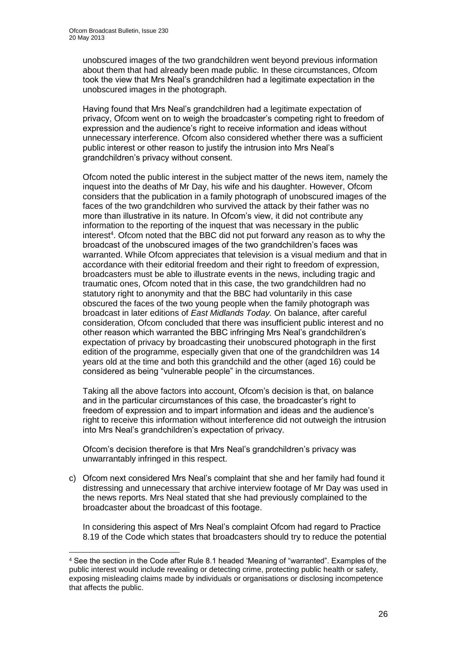1

unobscured images of the two grandchildren went beyond previous information about them that had already been made public. In these circumstances, Ofcom took the view that Mrs Neal's grandchildren had a legitimate expectation in the unobscured images in the photograph.

Having found that Mrs Neal's grandchildren had a legitimate expectation of privacy, Ofcom went on to weigh the broadcaster's competing right to freedom of expression and the audience's right to receive information and ideas without unnecessary interference. Ofcom also considered whether there was a sufficient public interest or other reason to justify the intrusion into Mrs Neal's grandchildren's privacy without consent.

Ofcom noted the public interest in the subject matter of the news item, namely the inquest into the deaths of Mr Day, his wife and his daughter. However, Ofcom considers that the publication in a family photograph of unobscured images of the faces of the two grandchildren who survived the attack by their father was no more than illustrative in its nature. In Ofcom's view, it did not contribute any information to the reporting of the inquest that was necessary in the public interest<sup>4</sup>. Ofcom noted that the BBC did not put forward any reason as to why the broadcast of the unobscured images of the two grandchildren's faces was warranted. While Ofcom appreciates that television is a visual medium and that in accordance with their editorial freedom and their right to freedom of expression, broadcasters must be able to illustrate events in the news, including tragic and traumatic ones, Ofcom noted that in this case, the two grandchildren had no statutory right to anonymity and that the BBC had voluntarily in this case obscured the faces of the two young people when the family photograph was broadcast in later editions of *East Midlands Today.* On balance, after careful consideration, Ofcom concluded that there was insufficient public interest and no other reason which warranted the BBC infringing Mrs Neal's grandchildren's expectation of privacy by broadcasting their unobscured photograph in the first edition of the programme, especially given that one of the grandchildren was 14 years old at the time and both this grandchild and the other (aged 16) could be considered as being "vulnerable people" in the circumstances.

Taking all the above factors into account, Ofcom's decision is that, on balance and in the particular circumstances of this case, the broadcaster's right to freedom of expression and to impart information and ideas and the audience's right to receive this information without interference did not outweigh the intrusion into Mrs Neal's grandchildren's expectation of privacy.

Ofcom's decision therefore is that Mrs Neal's grandchildren's privacy was unwarrantably infringed in this respect.

c) Ofcom next considered Mrs Neal's complaint that she and her family had found it distressing and unnecessary that archive interview footage of Mr Day was used in the news reports. Mrs Neal stated that she had previously complained to the broadcaster about the broadcast of this footage.

In considering this aspect of Mrs Neal's complaint Ofcom had regard to Practice 8.19 of the Code which states that broadcasters should try to reduce the potential

<sup>4</sup> See the section in the Code after Rule 8.1 headed 'Meaning of "warranted". Examples of the public interest would include revealing or detecting crime, protecting public health or safety, exposing misleading claims made by individuals or organisations or disclosing incompetence that affects the public.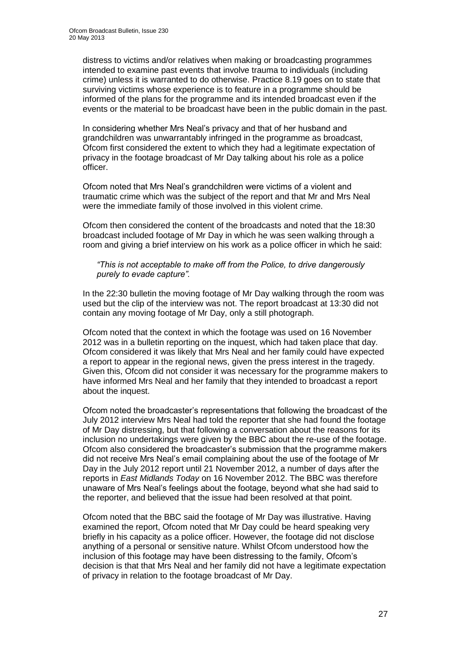distress to victims and/or relatives when making or broadcasting programmes intended to examine past events that involve trauma to individuals (including crime) unless it is warranted to do otherwise. Practice 8.19 goes on to state that surviving victims whose experience is to feature in a programme should be informed of the plans for the programme and its intended broadcast even if the events or the material to be broadcast have been in the public domain in the past.

In considering whether Mrs Neal's privacy and that of her husband and grandchildren was unwarrantably infringed in the programme as broadcast, Ofcom first considered the extent to which they had a legitimate expectation of privacy in the footage broadcast of Mr Day talking about his role as a police officer.

Ofcom noted that Mrs Neal's grandchildren were victims of a violent and traumatic crime which was the subject of the report and that Mr and Mrs Neal were the immediate family of those involved in this violent crime.

Ofcom then considered the content of the broadcasts and noted that the 18:30 broadcast included footage of Mr Day in which he was seen walking through a room and giving a brief interview on his work as a police officer in which he said:

*"This is not acceptable to make off from the Police, to drive dangerously purely to evade capture".* 

In the 22:30 bulletin the moving footage of Mr Day walking through the room was used but the clip of the interview was not. The report broadcast at 13:30 did not contain any moving footage of Mr Day, only a still photograph.

Ofcom noted that the context in which the footage was used on 16 November 2012 was in a bulletin reporting on the inquest, which had taken place that day. Ofcom considered it was likely that Mrs Neal and her family could have expected a report to appear in the regional news, given the press interest in the tragedy. Given this, Ofcom did not consider it was necessary for the programme makers to have informed Mrs Neal and her family that they intended to broadcast a report about the inquest.

Ofcom noted the broadcaster's representations that following the broadcast of the July 2012 interview Mrs Neal had told the reporter that she had found the footage of Mr Day distressing, but that following a conversation about the reasons for its inclusion no undertakings were given by the BBC about the re-use of the footage. Ofcom also considered the broadcaster's submission that the programme makers did not receive Mrs Neal's email complaining about the use of the footage of Mr Day in the July 2012 report until 21 November 2012, a number of days after the reports in *East Midlands Today* on 16 November 2012. The BBC was therefore unaware of Mrs Neal's feelings about the footage, beyond what she had said to the reporter, and believed that the issue had been resolved at that point.

Ofcom noted that the BBC said the footage of Mr Day was illustrative. Having examined the report, Ofcom noted that Mr Day could be heard speaking very briefly in his capacity as a police officer. However, the footage did not disclose anything of a personal or sensitive nature. Whilst Ofcom understood how the inclusion of this footage may have been distressing to the family, Ofcom's decision is that that Mrs Neal and her family did not have a legitimate expectation of privacy in relation to the footage broadcast of Mr Day.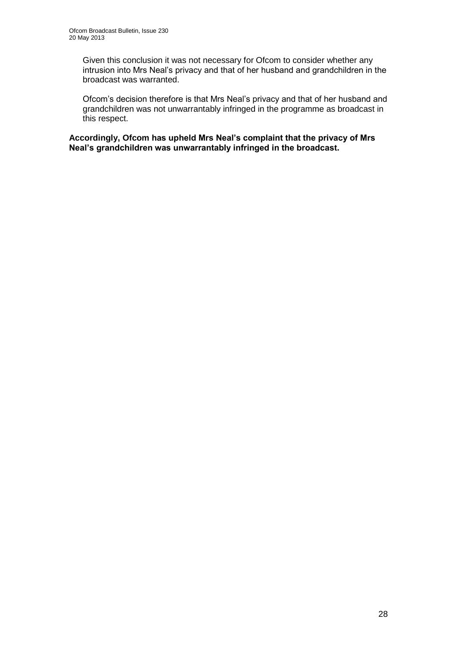Given this conclusion it was not necessary for Ofcom to consider whether any intrusion into Mrs Neal's privacy and that of her husband and grandchildren in the broadcast was warranted.

Ofcom's decision therefore is that Mrs Neal's privacy and that of her husband and grandchildren was not unwarrantably infringed in the programme as broadcast in this respect.

**Accordingly, Ofcom has upheld Mrs Neal's complaint that the privacy of Mrs Neal's grandchildren was unwarrantably infringed in the broadcast.**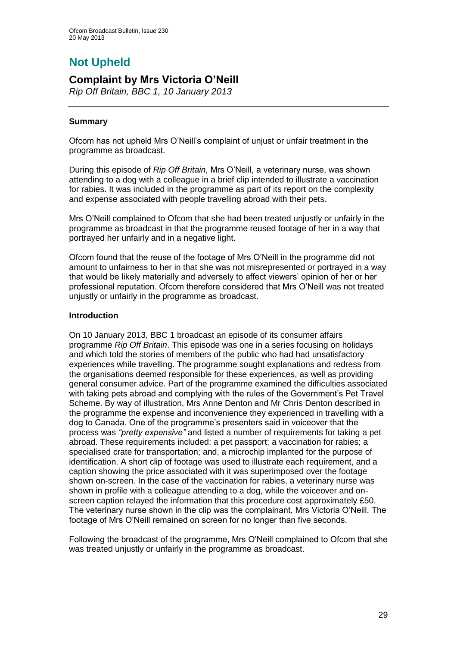# **Not Upheld**

### **Complaint by Mrs Victoria O'Neill**

*Rip Off Britain, BBC 1, 10 January 2013*

### **Summary**

Ofcom has not upheld Mrs O'Neill's complaint of unjust or unfair treatment in the programme as broadcast.

During this episode of *Rip Off Britain*, Mrs O'Neill, a veterinary nurse, was shown attending to a dog with a colleague in a brief clip intended to illustrate a vaccination for rabies. It was included in the programme as part of its report on the complexity and expense associated with people travelling abroad with their pets.

Mrs O'Neill complained to Ofcom that she had been treated unjustly or unfairly in the programme as broadcast in that the programme reused footage of her in a way that portrayed her unfairly and in a negative light.

Ofcom found that the reuse of the footage of Mrs O'Neill in the programme did not amount to unfairness to her in that she was not misrepresented or portrayed in a way that would be likely materially and adversely to affect viewers' opinion of her or her professional reputation. Ofcom therefore considered that Mrs O'Neill was not treated unjustly or unfairly in the programme as broadcast.

### **Introduction**

On 10 January 2013, BBC 1 broadcast an episode of its consumer affairs programme *Rip Off Britain*. This episode was one in a series focusing on holidays and which told the stories of members of the public who had had unsatisfactory experiences while travelling. The programme sought explanations and redress from the organisations deemed responsible for these experiences, as well as providing general consumer advice. Part of the programme examined the difficulties associated with taking pets abroad and complying with the rules of the Government's Pet Travel Scheme. By way of illustration, Mrs Anne Denton and Mr Chris Denton described in the programme the expense and inconvenience they experienced in travelling with a dog to Canada. One of the programme's presenters said in voiceover that the process was *"pretty expensive"* and listed a number of requirements for taking a pet abroad. These requirements included: a pet passport; a vaccination for rabies; a specialised crate for transportation; and, a microchip implanted for the purpose of identification. A short clip of footage was used to illustrate each requirement, and a caption showing the price associated with it was superimposed over the footage shown on-screen. In the case of the vaccination for rabies, a veterinary nurse was shown in profile with a colleague attending to a dog, while the voiceover and onscreen caption relayed the information that this procedure cost approximately £50. The veterinary nurse shown in the clip was the complainant, Mrs Victoria O'Neill. The footage of Mrs O'Neill remained on screen for no longer than five seconds.

Following the broadcast of the programme, Mrs O'Neill complained to Ofcom that she was treated unjustly or unfairly in the programme as broadcast.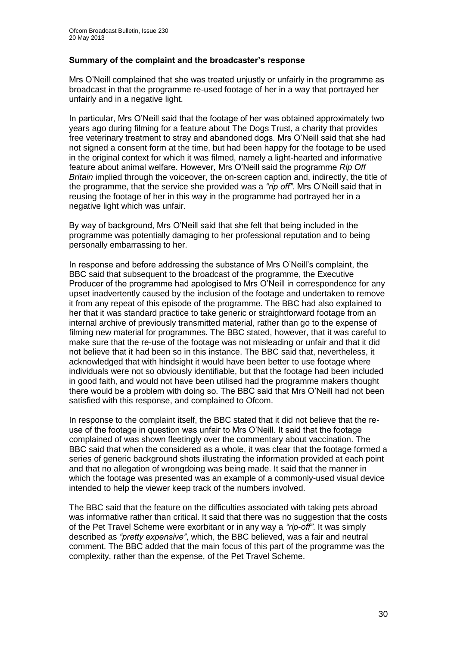### **Summary of the complaint and the broadcaster's response**

Mrs O'Neill complained that she was treated unjustly or unfairly in the programme as broadcast in that the programme re-used footage of her in a way that portrayed her unfairly and in a negative light.

In particular, Mrs O'Neill said that the footage of her was obtained approximately two years ago during filming for a feature about The Dogs Trust, a charity that provides free veterinary treatment to stray and abandoned dogs. Mrs O'Neill said that she had not signed a consent form at the time, but had been happy for the footage to be used in the original context for which it was filmed, namely a light-hearted and informative feature about animal welfare. However, Mrs O'Neill said the programme *Rip Off Britain* implied through the voiceover, the on-screen caption and, indirectly, the title of the programme, that the service she provided was a *"rip off"*. Mrs O'Neill said that in reusing the footage of her in this way in the programme had portrayed her in a negative light which was unfair.

By way of background, Mrs O'Neill said that she felt that being included in the programme was potentially damaging to her professional reputation and to being personally embarrassing to her.

In response and before addressing the substance of Mrs O'Neill's complaint, the BBC said that subsequent to the broadcast of the programme, the Executive Producer of the programme had apologised to Mrs O'Neill in correspondence for any upset inadvertently caused by the inclusion of the footage and undertaken to remove it from any repeat of this episode of the programme. The BBC had also explained to her that it was standard practice to take generic or straightforward footage from an internal archive of previously transmitted material, rather than go to the expense of filming new material for programmes. The BBC stated, however, that it was careful to make sure that the re-use of the footage was not misleading or unfair and that it did not believe that it had been so in this instance. The BBC said that, nevertheless, it acknowledged that with hindsight it would have been better to use footage where individuals were not so obviously identifiable, but that the footage had been included in good faith, and would not have been utilised had the programme makers thought there would be a problem with doing so. The BBC said that Mrs O'Neill had not been satisfied with this response, and complained to Ofcom.

In response to the complaint itself, the BBC stated that it did not believe that the reuse of the footage in question was unfair to Mrs O'Neill. It said that the footage complained of was shown fleetingly over the commentary about vaccination. The BBC said that when the considered as a whole, it was clear that the footage formed a series of generic background shots illustrating the information provided at each point and that no allegation of wrongdoing was being made. It said that the manner in which the footage was presented was an example of a commonly-used visual device intended to help the viewer keep track of the numbers involved.

The BBC said that the feature on the difficulties associated with taking pets abroad was informative rather than critical. It said that there was no suggestion that the costs of the Pet Travel Scheme were exorbitant or in any way a *"rip-off"*. It was simply described as *"pretty expensive"*, which, the BBC believed, was a fair and neutral comment. The BBC added that the main focus of this part of the programme was the complexity, rather than the expense, of the Pet Travel Scheme.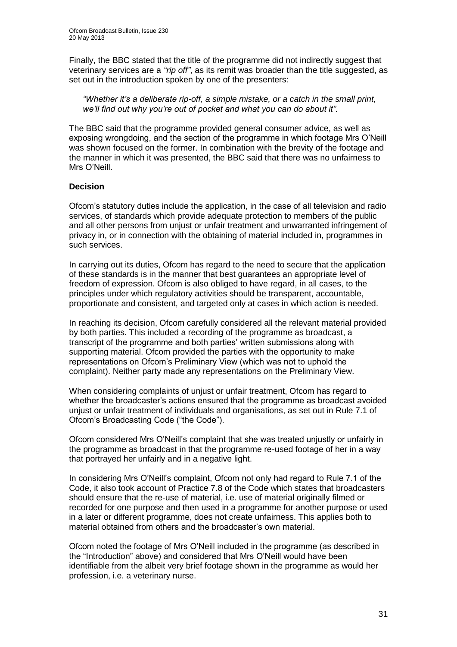Finally, the BBC stated that the title of the programme did not indirectly suggest that veterinary services are a *"rip off"*, as its remit was broader than the title suggested, as set out in the introduction spoken by one of the presenters:

*"Whether it's a deliberate rip-off, a simple mistake, or a catch in the small print, we'll find out why you're out of pocket and what you can do about it".*

The BBC said that the programme provided general consumer advice, as well as exposing wrongdoing, and the section of the programme in which footage Mrs O'Neill was shown focused on the former. In combination with the brevity of the footage and the manner in which it was presented, the BBC said that there was no unfairness to Mrs O'Neill.

### **Decision**

Ofcom's statutory duties include the application, in the case of all television and radio services, of standards which provide adequate protection to members of the public and all other persons from unjust or unfair treatment and unwarranted infringement of privacy in, or in connection with the obtaining of material included in, programmes in such services.

In carrying out its duties, Ofcom has regard to the need to secure that the application of these standards is in the manner that best guarantees an appropriate level of freedom of expression. Ofcom is also obliged to have regard, in all cases, to the principles under which regulatory activities should be transparent, accountable, proportionate and consistent, and targeted only at cases in which action is needed.

In reaching its decision, Ofcom carefully considered all the relevant material provided by both parties. This included a recording of the programme as broadcast, a transcript of the programme and both parties' written submissions along with supporting material. Ofcom provided the parties with the opportunity to make representations on Ofcom's Preliminary View (which was not to uphold the complaint). Neither party made any representations on the Preliminary View.

When considering complaints of unjust or unfair treatment, Ofcom has regard to whether the broadcaster's actions ensured that the programme as broadcast avoided unjust or unfair treatment of individuals and organisations, as set out in Rule 7.1 of Ofcom's Broadcasting Code ("the Code").

Ofcom considered Mrs O'Neill's complaint that she was treated unjustly or unfairly in the programme as broadcast in that the programme re-used footage of her in a way that portrayed her unfairly and in a negative light.

In considering Mrs O'Neill's complaint, Ofcom not only had regard to Rule 7.1 of the Code, it also took account of Practice 7.8 of the Code which states that broadcasters should ensure that the re-use of material, i.e. use of material originally filmed or recorded for one purpose and then used in a programme for another purpose or used in a later or different programme, does not create unfairness. This applies both to material obtained from others and the broadcaster's own material.

Ofcom noted the footage of Mrs O'Neill included in the programme (as described in the "Introduction" above) and considered that Mrs O'Neill would have been identifiable from the albeit very brief footage shown in the programme as would her profession, i.e. a veterinary nurse.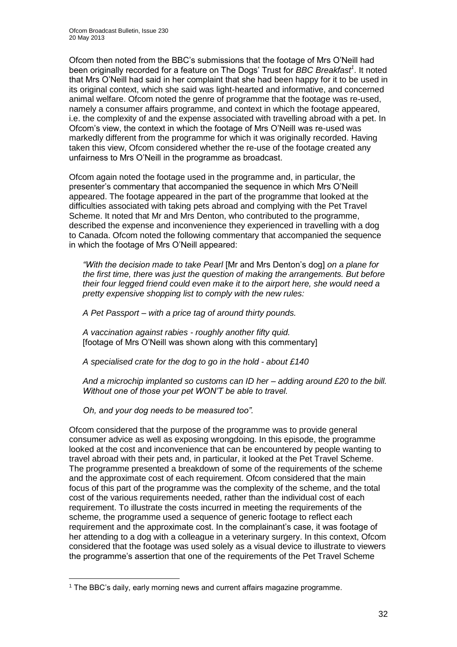Ofcom then noted from the BBC's submissions that the footage of Mrs O'Neill had been originally recorded for a feature on The Dogs' Trust for *BBC Breakfast<sup>1</sup>* . It noted that Mrs O'Neill had said in her complaint that she had been happy for it to be used in its original context, which she said was light-hearted and informative, and concerned animal welfare. Ofcom noted the genre of programme that the footage was re-used, namely a consumer affairs programme, and context in which the footage appeared, i.e. the complexity of and the expense associated with travelling abroad with a pet. In Ofcom's view, the context in which the footage of Mrs O'Neill was re-used was markedly different from the programme for which it was originally recorded. Having taken this view, Ofcom considered whether the re-use of the footage created any unfairness to Mrs O'Neill in the programme as broadcast.

Ofcom again noted the footage used in the programme and, in particular, the presenter's commentary that accompanied the sequence in which Mrs O'Neill appeared. The footage appeared in the part of the programme that looked at the difficulties associated with taking pets abroad and complying with the Pet Travel Scheme. It noted that Mr and Mrs Denton, who contributed to the programme, described the expense and inconvenience they experienced in travelling with a dog to Canada. Ofcom noted the following commentary that accompanied the sequence in which the footage of Mrs O'Neill appeared:

*"With the decision made to take Pearl* [Mr and Mrs Denton's dog] *on a plane for the first time, there was just the question of making the arrangements. But before their four legged friend could even make it to the airport here, she would need a pretty expensive shopping list to comply with the new rules:*

*A Pet Passport – with a price tag of around thirty pounds.*

*A vaccination against rabies - roughly another fifty quid.*  [footage of Mrs O'Neill was shown along with this commentary]

*A specialised crate for the dog to go in the hold - about £140*

*And a microchip implanted so customs can ID her – adding around £20 to the bill. Without one of those your pet WON'T be able to travel.* 

*Oh, and your dog needs to be measured too".*

1

Ofcom considered that the purpose of the programme was to provide general consumer advice as well as exposing wrongdoing. In this episode, the programme looked at the cost and inconvenience that can be encountered by people wanting to travel abroad with their pets and, in particular, it looked at the Pet Travel Scheme. The programme presented a breakdown of some of the requirements of the scheme and the approximate cost of each requirement. Ofcom considered that the main focus of this part of the programme was the complexity of the scheme, and the total cost of the various requirements needed, rather than the individual cost of each requirement. To illustrate the costs incurred in meeting the requirements of the scheme, the programme used a sequence of generic footage to reflect each requirement and the approximate cost. In the complainant's case, it was footage of her attending to a dog with a colleague in a veterinary surgery. In this context, Ofcom considered that the footage was used solely as a visual device to illustrate to viewers the programme's assertion that one of the requirements of the Pet Travel Scheme

<sup>1</sup> The BBC's daily, early morning news and current affairs magazine programme.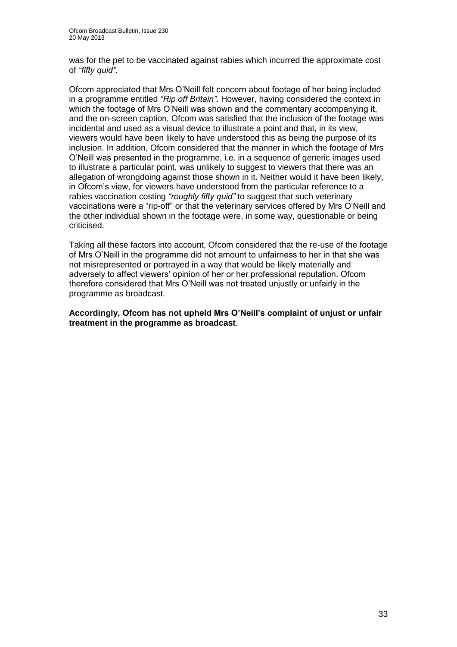was for the pet to be vaccinated against rabies which incurred the approximate cost of *"fifty quid"*.

Ofcom appreciated that Mrs O'Neill felt concern about footage of her being included in a programme entitled *"Rip off Britain"*. However, having considered the context in which the footage of Mrs O'Neill was shown and the commentary accompanying it, and the on-screen caption, Ofcom was satisfied that the inclusion of the footage was incidental and used as a visual device to illustrate a point and that, in its view, viewers would have been likely to have understood this as being the purpose of its inclusion. In addition, Ofcom considered that the manner in which the footage of Mrs O'Neill was presented in the programme, i.e. in a sequence of generic images used to illustrate a particular point, was unlikely to suggest to viewers that there was an allegation of wrongdoing against those shown in it. Neither would it have been likely, in Ofcom's view, for viewers have understood from the particular reference to a rabies vaccination costing *"roughly fifty quid"* to suggest that such veterinary vaccinations were a "rip-off" or that the veterinary services offered by Mrs O'Neill and the other individual shown in the footage were, in some way, questionable or being criticised.

Taking all these factors into account, Ofcom considered that the re-use of the footage of Mrs O'Neill in the programme did not amount to unfairness to her in that she was not misrepresented or portrayed in a way that would be likely materially and adversely to affect viewers' opinion of her or her professional reputation. Ofcom therefore considered that Mrs O'Neill was not treated unjustly or unfairly in the programme as broadcast.

### **Accordingly, Ofcom has not upheld Mrs O'Neill's complaint of unjust or unfair treatment in the programme as broadcast**.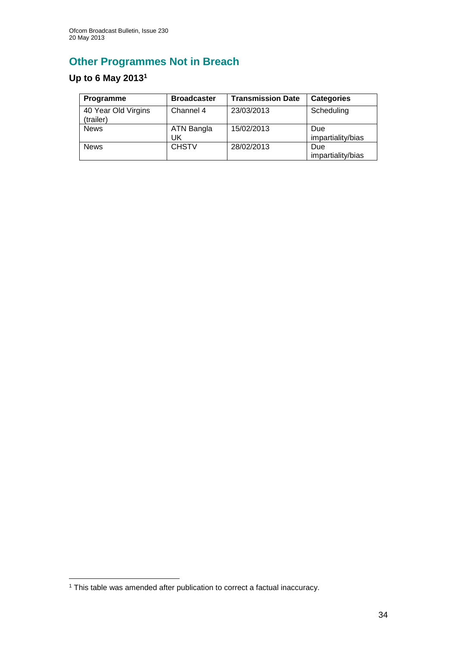# **Other Programmes Not in Breach**

# **Up to 6 May 2013<sup>1</sup>**

| Programme                        | <b>Broadcaster</b> | <b>Transmission Date</b> | <b>Categories</b>               |
|----------------------------------|--------------------|--------------------------|---------------------------------|
| 40 Year Old Virgins<br>(trailer) | Channel 4          | 23/03/2013               | Scheduling                      |
| <b>News</b>                      | ATN Bangla<br>UK   | 15/02/2013               | Due<br>impartiality/bias        |
| <b>News</b>                      | <b>CHSTV</b>       | 28/02/2013               | <b>Due</b><br>impartiality/bias |

1

<sup>1</sup> This table was amended after publication to correct a factual inaccuracy.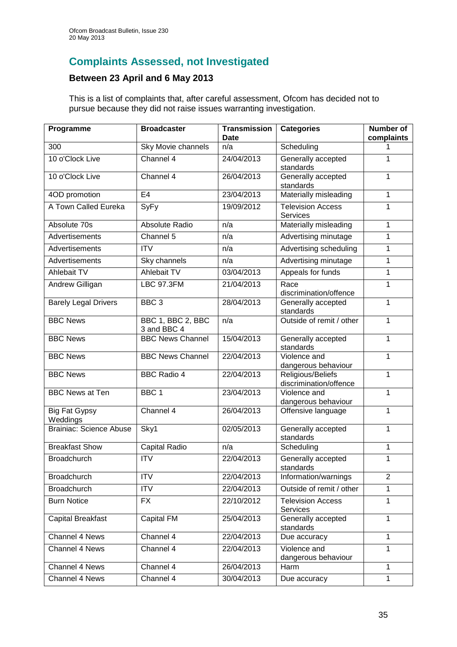# **Complaints Assessed, not Investigated**

### **Between 23 April and 6 May 2013**

This is a list of complaints that, after careful assessment, Ofcom has decided not to pursue because they did not raise issues warranting investigation.

| Programme                        | <b>Broadcaster</b>               | <b>Transmission</b><br><b>Date</b> | <b>Categories</b>                           | <b>Number of</b><br>complaints |
|----------------------------------|----------------------------------|------------------------------------|---------------------------------------------|--------------------------------|
| 300                              | Sky Movie channels               | n/a                                | Scheduling                                  | 1                              |
| 10 o'Clock Live                  | Channel 4                        | 24/04/2013                         | Generally accepted<br>standards             | 1                              |
| 10 o'Clock Live                  | Channel 4                        | 26/04/2013                         | Generally accepted<br>standards             | 1                              |
| 4OD promotion                    | E <sub>4</sub>                   | 23/04/2013                         | Materially misleading                       | $\overline{1}$                 |
| A Town Called Eureka             | SyFy                             | 19/09/2012                         | <b>Television Access</b><br>Services        | 1                              |
| Absolute 70s                     | Absolute Radio                   | n/a                                | Materially misleading                       | $\mathbf{1}$                   |
| Advertisements                   | Channel 5                        | n/a                                | Advertising minutage                        | 1                              |
| Advertisements                   | <b>ITV</b>                       | n/a                                | Advertising scheduling                      | $\mathbf{1}$                   |
| Advertisements                   | Sky channels                     | n/a                                | Advertising minutage                        | $\mathbf{1}$                   |
| Ahlebait TV                      | Ahlebait TV                      | 03/04/2013                         | Appeals for funds                           | 1                              |
| <b>Andrew Gilligan</b>           | <b>LBC 97.3FM</b>                | 21/04/2013                         | Race<br>discrimination/offence              | 1                              |
| <b>Barely Legal Drivers</b>      | BBC <sub>3</sub>                 | 28/04/2013                         | Generally accepted<br>standards             | 1                              |
| <b>BBC News</b>                  | BBC 1, BBC 2, BBC<br>3 and BBC 4 | n/a                                | Outside of remit / other                    | 1                              |
| <b>BBC News</b>                  | <b>BBC News Channel</b>          | 15/04/2013                         | Generally accepted<br>standards             | 1                              |
| <b>BBC News</b>                  | <b>BBC News Channel</b>          | 22/04/2013                         | Violence and<br>dangerous behaviour         | 1                              |
| <b>BBC News</b>                  | <b>BBC Radio 4</b>               | 22/04/2013                         | Religious/Beliefs<br>discrimination/offence | $\mathbf{1}$                   |
| <b>BBC News at Ten</b>           | BBC <sub>1</sub>                 | 23/04/2013                         | Violence and<br>dangerous behaviour         | 1                              |
| <b>Big Fat Gypsy</b><br>Weddings | Channel 4                        | 26/04/2013                         | Offensive language                          | 1                              |
| <b>Brainiac: Science Abuse</b>   | Sky1                             | 02/05/2013                         | Generally accepted<br>standards             | $\mathbf{1}$                   |
| <b>Breakfast Show</b>            | Capital Radio                    | n/a                                | Scheduling                                  | 1                              |
| Broadchurch                      | <b>ITV</b>                       | 22/04/2013                         | Generally accepted<br>standards             | 1                              |
| <b>Broadchurch</b>               | <b>ITV</b>                       | 22/04/2013                         | Information/warnings                        | $\overline{2}$                 |
| <b>Broadchurch</b>               | <b>ITV</b>                       | 22/04/2013                         | Outside of remit / other                    | 1                              |
| <b>Burn Notice</b>               | <b>FX</b>                        | 22/10/2012                         | <b>Television Access</b><br><b>Services</b> | 1                              |
| <b>Capital Breakfast</b>         | <b>Capital FM</b>                | 25/04/2013                         | Generally accepted<br>standards             | 1                              |
| Channel 4 News                   | Channel 4                        | 22/04/2013                         | Due accuracy                                | $\mathbf{1}$                   |
| Channel 4 News                   | Channel 4                        | 22/04/2013                         | Violence and<br>dangerous behaviour         | $\mathbf{1}$                   |
| Channel 4 News                   | Channel 4                        | 26/04/2013                         | Harm                                        | $\mathbf{1}$                   |
| Channel 4 News                   | Channel 4                        | 30/04/2013                         | Due accuracy                                |                                |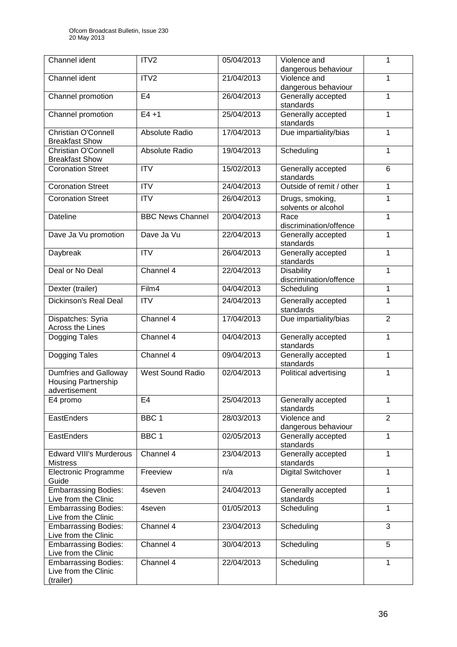| Channel ident                                                        | ITV2                    | 05/04/2013 | Violence and<br>dangerous behaviour              | 1              |
|----------------------------------------------------------------------|-------------------------|------------|--------------------------------------------------|----------------|
| Channel ident                                                        | ITV2                    | 21/04/2013 | Violence and<br>dangerous behaviour              | 1              |
| Channel promotion                                                    | E <sub>4</sub>          | 26/04/2013 | Generally accepted<br>standards                  | 1              |
| Channel promotion                                                    | $E4 + 1$                | 25/04/2013 | Generally accepted<br>standards                  | 1              |
| Christian O'Connell<br><b>Breakfast Show</b>                         | Absolute Radio          | 17/04/2013 | Due impartiality/bias                            | 1              |
| Christian O'Connell<br><b>Breakfast Show</b>                         | Absolute Radio          | 19/04/2013 | Scheduling                                       | 1              |
| <b>Coronation Street</b>                                             | <b>ITV</b>              | 15/02/2013 | Generally accepted<br>standards                  | 6              |
| <b>Coronation Street</b>                                             | <b>ITV</b>              | 24/04/2013 | Outside of remit / other                         | 1              |
| <b>Coronation Street</b>                                             | <b>ITV</b>              | 26/04/2013 | Drugs, smoking,<br>solvents or alcohol           | 1              |
| Dateline                                                             | <b>BBC News Channel</b> | 20/04/2013 | Race<br>discrimination/offence                   | 1              |
| Dave Ja Vu promotion                                                 | Dave Ja Vu              | 22/04/2013 | Generally accepted<br>standards                  | 1              |
| Daybreak                                                             | <b>ITV</b>              | 26/04/2013 | Generally accepted<br>standards                  | $\mathbf{1}$   |
| Deal or No Deal                                                      | Channel 4               | 22/04/2013 | <b>Disability</b><br>1<br>discrimination/offence |                |
| Dexter (trailer)                                                     | Film4                   | 04/04/2013 | Scheduling                                       | 1              |
| Dickinson's Real Deal                                                | <b>ITV</b>              | 24/04/2013 | Generally accepted<br>standards                  | 1              |
| Dispatches: Syria<br>Across the Lines                                | Channel 4               | 17/04/2013 | $\overline{2}$<br>Due impartiality/bias          |                |
| Dogging Tales                                                        | Channel 4               | 04/04/2013 | Generally accepted<br>standards                  | 1              |
| Dogging Tales                                                        | Channel 4               | 09/04/2013 | Generally accepted<br>standards                  | 1              |
| Dumfries and Galloway<br><b>Housing Partnership</b><br>advertisement | West Sound Radio        | 02/04/2013 | Political advertising                            | 1              |
| E4 promo                                                             | E4                      | 25/04/2013 | Generally accepted<br>standards                  | $\mathbf{1}$   |
| EastEnders                                                           | BBC <sub>1</sub>        | 28/03/2013 | Violence and<br>dangerous behaviour              | $\overline{2}$ |
| EastEnders                                                           | BBC <sub>1</sub>        | 02/05/2013 | Generally accepted<br>$\mathbf{1}$<br>standards  |                |
| <b>Edward VIII's Murderous</b><br><b>Mistress</b>                    | Channel 4               | 23/04/2013 | Generally accepted<br>1<br>standards             |                |
| Electronic Programme<br>Guide                                        | Freeview                | n/a        | <b>Digital Switchover</b><br>$\mathbf{1}$        |                |
| <b>Embarrassing Bodies:</b><br>Live from the Clinic                  | 4seven                  | 24/04/2013 | Generally accepted<br>standards                  | $\mathbf{1}$   |
| <b>Embarrassing Bodies:</b><br>Live from the Clinic                  | 4seven                  | 01/05/2013 | Scheduling                                       | 1              |
| <b>Embarrassing Bodies:</b><br>Live from the Clinic                  | Channel 4               | 23/04/2013 | Scheduling                                       | 3              |
| <b>Embarrassing Bodies:</b><br>Live from the Clinic                  | Channel 4               | 30/04/2013 | Scheduling                                       | 5              |
| <b>Embarrassing Bodies:</b><br>Live from the Clinic<br>(trailer)     | Channel 4               | 22/04/2013 | Scheduling                                       | 1              |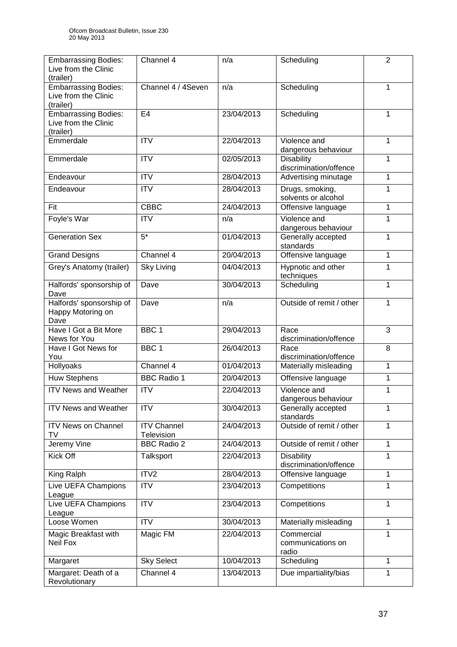| <b>Embarrassing Bodies:</b><br>Live from the Clinic<br>(trailer) | Channel 4                        | n/a        | Scheduling                                  | $\overline{2}$    |
|------------------------------------------------------------------|----------------------------------|------------|---------------------------------------------|-------------------|
| <b>Embarrassing Bodies:</b><br>Live from the Clinic<br>(trailer) | Channel 4 / 4Seven               | n/a        | Scheduling                                  | 1                 |
| <b>Embarrassing Bodies:</b><br>Live from the Clinic<br>(trailer) | E <sub>4</sub>                   | 23/04/2013 | Scheduling                                  | 1                 |
| Emmerdale                                                        | $\overline{ITV}$                 | 22/04/2013 | Violence and<br>dangerous behaviour         | 1                 |
| Emmerdale                                                        | <b>ITV</b>                       | 02/05/2013 | <b>Disability</b><br>discrimination/offence | 1                 |
| Endeavour                                                        | <b>ITV</b>                       | 28/04/2013 | Advertising minutage                        | 1                 |
| Endeavour                                                        | <b>ITV</b>                       | 28/04/2013 | Drugs, smoking,<br>solvents or alcohol      | 1                 |
| Fit                                                              | <b>CBBC</b>                      | 24/04/2013 | Offensive language                          | 1                 |
| Foyle's War                                                      | <b>ITV</b>                       | n/a        | Violence and<br>dangerous behaviour         | 1                 |
| <b>Generation Sex</b>                                            | $5*$                             | 01/04/2013 | Generally accepted<br>standards             | 1                 |
| <b>Grand Designs</b>                                             | Channel 4                        | 20/04/2013 | Offensive language                          | 1                 |
| Grey's Anatomy (trailer)                                         | <b>Sky Living</b>                | 04/04/2013 | Hypnotic and other<br>techniques            | 1                 |
| Halfords' sponsorship of<br>Dave                                 | Dave                             | 30/04/2013 | Scheduling                                  | $\overline{1}$    |
| Halfords' sponsorship of<br>Happy Motoring on<br>Dave            | Dave                             | n/a        | Outside of remit / other                    | 1                 |
| Have I Got a Bit More<br>News for You                            | BBC <sub>1</sub>                 | 29/04/2013 | Race<br>discrimination/offence              | 3                 |
| Have I Got News for<br>You                                       | BBC <sub>1</sub>                 | 26/04/2013 | Race<br>discrimination/offence              | 8                 |
| Hollyoaks                                                        | Channel 4                        | 01/04/2013 | Materially misleading                       | 1                 |
| Huw Stephens                                                     | <b>BBC Radio 1</b>               | 20/04/2013 | Offensive language                          | 1                 |
| <b>ITV News and Weather</b>                                      | <b>ITV</b>                       | 22/04/2013 | Violence and<br>dangerous behaviour         | 1                 |
| <b>ITV News and Weather</b>                                      | <b>ITV</b>                       | 30/04/2013 | Generally accepted<br>standards             | 1                 |
| <b>ITV News on Channel</b><br>TV                                 | <b>ITV Channel</b><br>Television | 24/04/2013 | Outside of remit / other                    | 1<br>$\mathbf{1}$ |
| Jeremy Vine                                                      | <b>BBC Radio 2</b>               | 24/04/2013 | Outside of remit / other                    |                   |
| <b>Kick Off</b>                                                  | Talksport                        | 22/04/2013 | <b>Disability</b><br>discrimination/offence | 1                 |
| King Ralph                                                       | ITV <sub>2</sub>                 | 28/04/2013 | Offensive language                          | 1                 |
| Live UEFA Champions<br>League                                    | <b>ITV</b>                       | 23/04/2013 | Competitions                                | 1                 |
| Live UEFA Champions<br>League                                    | <b>ITV</b>                       | 23/04/2013 | Competitions                                | 1                 |
| Loose Women                                                      | <b>ITV</b>                       | 30/04/2013 | Materially misleading                       | 1                 |
| Magic Breakfast with<br>Neil Fox                                 | Magic FM                         | 22/04/2013 | Commercial<br>communications on<br>radio    | 1                 |
| Margaret                                                         | <b>Sky Select</b>                | 10/04/2013 | Scheduling                                  | 1                 |
| Margaret: Death of a<br>Revolutionary                            | Channel 4                        | 13/04/2013 | Due impartiality/bias                       | 1                 |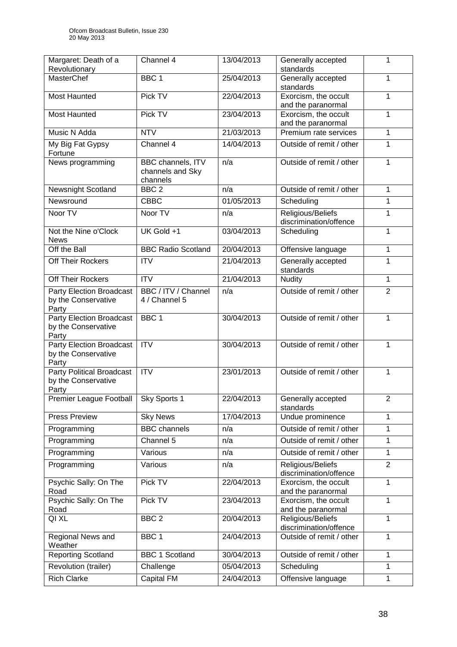| Margaret: Death of a<br>Revolutionary                            | Channel 4                                         | 13/04/2013 | Generally accepted<br>standards             | 1              |
|------------------------------------------------------------------|---------------------------------------------------|------------|---------------------------------------------|----------------|
| <b>MasterChef</b>                                                | BBC <sub>1</sub>                                  | 25/04/2013 | Generally accepted                          | 1              |
|                                                                  |                                                   |            | standards                                   |                |
| Most Haunted                                                     | Pick TV                                           | 22/04/2013 | Exorcism, the occult<br>and the paranormal  | 1              |
| Most Haunted                                                     | Pick TV                                           | 23/04/2013 | Exorcism, the occult<br>and the paranormal  | 1              |
| Music N Adda                                                     | <b>NTV</b>                                        | 21/03/2013 | Premium rate services                       | 1              |
| My Big Fat Gypsy<br>Fortune                                      | Channel 4                                         | 14/04/2013 | Outside of remit / other                    | 1              |
| News programming                                                 | BBC channels, ITV<br>channels and Sky<br>channels | n/a        | Outside of remit / other                    | 1              |
| Newsnight Scotland                                               | BBC <sub>2</sub>                                  | n/a        | Outside of remit / other                    | 1              |
| Newsround                                                        | <b>CBBC</b>                                       | 01/05/2013 | Scheduling                                  | 1              |
| Noor TV                                                          | Noor TV                                           | n/a        | Religious/Beliefs<br>discrimination/offence | 1              |
| Not the Nine o'Clock<br><b>News</b>                              | UK Gold +1                                        | 03/04/2013 | Scheduling                                  | 1              |
| Off the Ball                                                     | <b>BBC Radio Scotland</b>                         | 20/04/2013 | Offensive language                          | 1              |
| Off Their Rockers                                                | <b>ITV</b>                                        | 21/04/2013 | Generally accepted<br>standards             | 1              |
| Off Their Rockers                                                | <b>ITV</b>                                        | 21/04/2013 | <b>Nudity</b>                               | $\mathbf{1}$   |
| Party Election Broadcast<br>by the Conservative<br>Party         | BBC / ITV / Channel<br>4 / Channel 5              | n/a        | Outside of remit / other                    | $\overline{2}$ |
| Party Election Broadcast<br>by the Conservative<br>Party         | BBC <sub>1</sub>                                  | 30/04/2013 | Outside of remit / other                    | 1              |
| <b>Party Election Broadcast</b><br>by the Conservative<br>Party  | <b>ITV</b>                                        | 30/04/2013 | Outside of remit / other                    | 1              |
| <b>Party Political Broadcast</b><br>by the Conservative<br>Party | $\overline{ITV}$                                  | 23/01/2013 | Outside of remit / other                    | 1              |
| Premier League Football Sky Sports 1                             |                                                   | 22/04/2013 | Generally accepted<br>standards             | $\overline{c}$ |
| <b>Press Preview</b>                                             | <b>Sky News</b>                                   | 17/04/2013 | Undue prominence                            | 1              |
| Programming                                                      | <b>BBC</b> channels                               | n/a        | Outside of remit / other                    | 1              |
| Programming                                                      | Channel 5                                         | n/a        | Outside of remit / other                    | 1              |
| Programming                                                      | Various                                           | n/a        | Outside of remit / other                    | 1              |
| Programming                                                      | Various                                           | n/a        | Religious/Beliefs<br>discrimination/offence | $\overline{2}$ |
| Psychic Sally: On The<br>Road                                    | Pick TV                                           | 22/04/2013 | Exorcism, the occult<br>and the paranormal  | 1              |
| Psychic Sally: On The<br>Road                                    | Pick TV                                           | 23/04/2013 | Exorcism, the occult<br>and the paranormal  | 1              |
| QI XL                                                            | BBC <sub>2</sub>                                  | 20/04/2013 | Religious/Beliefs<br>discrimination/offence | 1              |
| Regional News and<br>Weather                                     | BBC <sub>1</sub>                                  | 24/04/2013 | Outside of remit / other                    | 1              |
| <b>Reporting Scotland</b>                                        | <b>BBC 1 Scotland</b>                             | 30/04/2013 | Outside of remit / other                    | $\mathbf{1}$   |
| Revolution (trailer)                                             | Challenge                                         | 05/04/2013 | Scheduling                                  | 1              |
| <b>Rich Clarke</b>                                               | Capital FM                                        | 24/04/2013 | Offensive language                          | 1              |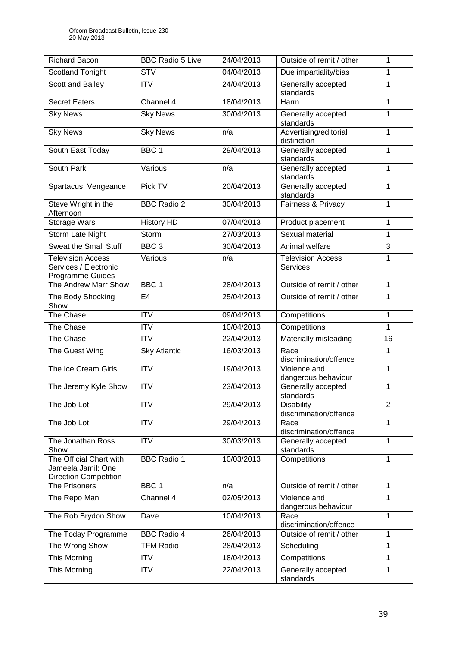| <b>Richard Bacon</b>                                                          | <b>BBC Radio 5 Live</b>  | 24/04/2013 | Outside of remit / other<br>1               |                |
|-------------------------------------------------------------------------------|--------------------------|------------|---------------------------------------------|----------------|
| <b>Scotland Tonight</b>                                                       | <b>STV</b>               | 04/04/2013 | Due impartiality/bias                       | 1              |
| Scott and Bailey                                                              | <b>ITV</b>               | 24/04/2013 | Generally accepted<br>standards             | 1              |
| <b>Secret Eaters</b>                                                          | Channel 4                | 18/04/2013 | Harm                                        | 1              |
| <b>Sky News</b>                                                               | <b>Sky News</b>          | 30/04/2013 | Generally accepted<br>standards             | 1              |
| <b>Sky News</b>                                                               | <b>Sky News</b>          | n/a        | Advertising/editorial<br>distinction        | $\overline{1}$ |
| South East Today                                                              | BBC <sub>1</sub>         | 29/04/2013 | Generally accepted<br>standards             | 1              |
| <b>South Park</b>                                                             | Various                  | n/a        | Generally accepted<br>standards             | 1              |
| Spartacus: Vengeance                                                          | Pick TV                  | 20/04/2013 | Generally accepted<br>standards             | 1              |
| Steve Wright in the<br>Afternoon                                              | <b>BBC Radio 2</b>       | 30/04/2013 | Fairness & Privacy                          | 1              |
| <b>Storage Wars</b>                                                           | <b>History HD</b>        | 07/04/2013 | Product placement                           | 1              |
| Storm Late Night                                                              | Storm                    | 27/03/2013 | Sexual material                             | 1              |
| <b>Sweat the Small Stuff</b>                                                  | BBC <sub>3</sub>         | 30/04/2013 | Animal welfare                              | 3              |
| <b>Television Access</b><br>Services / Electronic<br>Programme Guides         | Various                  | n/a        | Television Access<br>Services               | 1              |
| The Andrew Marr Show                                                          | BBC <sub>1</sub>         | 28/04/2013 | Outside of remit / other                    | 1              |
| The Body Shocking<br>Show                                                     | E <sub>4</sub>           | 25/04/2013 | Outside of remit / other                    | 1              |
| The Chase                                                                     | <b>ITV</b>               | 09/04/2013 | Competitions                                | 1              |
| The Chase                                                                     | <b>ITV</b>               | 10/04/2013 | Competitions                                | 1              |
| The Chase                                                                     | <b>ITV</b>               | 22/04/2013 | Materially misleading<br>16                 |                |
| The Guest Wing                                                                | <b>Sky Atlantic</b>      | 16/03/2013 | Race<br>discrimination/offence              | 1              |
| The Ice Cream Girls                                                           | <b>ITV</b>               | 19/04/2013 | Violence and<br>1<br>dangerous behaviour    |                |
| The Jeremy Kyle Show                                                          | <b>ITV</b>               | 23/04/2013 | Generally accepted<br>1<br>standards        |                |
| The Job Lot                                                                   | <b>ITV</b>               | 29/04/2013 | <b>Disability</b><br>discrimination/offence | 2              |
| The Job Lot                                                                   | <b>ITV</b>               | 29/04/2013 | Race<br>discrimination/offence              | $\overline{1}$ |
| The Jonathan Ross<br>Show                                                     | <b>ITV</b>               | 30/03/2013 | Generally accepted<br>standards             | 1              |
| The Official Chart with<br>Jameela Jamil: One<br><b>Direction Competition</b> | <b>BBC Radio 1</b>       | 10/03/2013 | Competitions                                | 1              |
| The Prisoners                                                                 | BBC <sub>1</sub>         | n/a        | Outside of remit / other                    | 1              |
| The Repo Man                                                                  | Channel $\overline{4}$   | 02/05/2013 | Violence and<br>1<br>dangerous behaviour    |                |
| The Rob Brydon Show                                                           | Dave                     | 10/04/2013 | Race<br>discrimination/offence              | 1              |
| The Today Programme                                                           | BBC Radio $\overline{4}$ | 26/04/2013 | Outside of remit / other                    | 1              |
| The Wrong Show                                                                | <b>TFM Radio</b>         | 28/04/2013 | Scheduling                                  | 1              |
| This Morning                                                                  | <b>ITV</b>               | 18/04/2013 | Competitions                                | 1              |
| This Morning                                                                  | $\overline{IV}$          | 22/04/2013 | Generally accepted<br>standards             | 1              |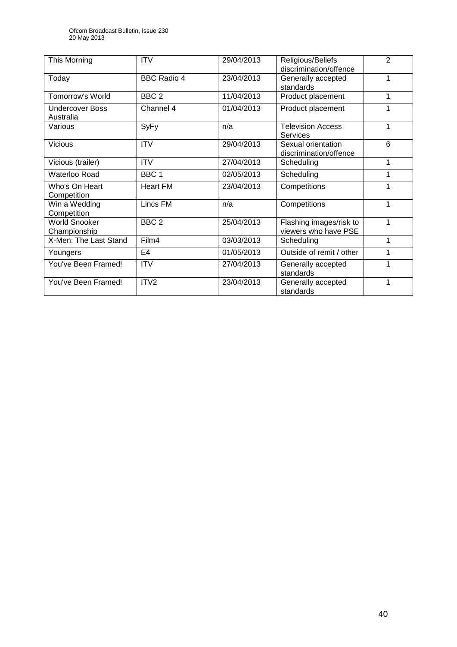| This Morning                         | <b>ITV</b>         | 29/04/2013 | Religious/Beliefs<br>discrimination/offence     | 2 |
|--------------------------------------|--------------------|------------|-------------------------------------------------|---|
| Today                                | <b>BBC Radio 4</b> | 23/04/2013 | Generally accepted<br>standards                 | 1 |
| <b>Tomorrow's World</b>              | BBC <sub>2</sub>   | 11/04/2013 | Product placement                               | 1 |
| <b>Undercover Boss</b><br>Australia  | Channel 4          | 01/04/2013 | Product placement                               | 1 |
| Various                              | SyFy               | n/a        | <b>Television Access</b><br>Services            | 1 |
| <b>Vicious</b>                       | <b>ITV</b>         | 29/04/2013 | Sexual orientation<br>discrimination/offence    | 6 |
| Vicious (trailer)                    | <b>ITV</b>         | 27/04/2013 | Scheduling                                      | 1 |
| Waterloo Road                        | BBC <sub>1</sub>   | 02/05/2013 | Scheduling                                      | 1 |
| Who's On Heart<br>Competition        | <b>Heart FM</b>    | 23/04/2013 | Competitions                                    | 1 |
| Win a Wedding<br>Competition         | Lincs FM           | n/a        | Competitions                                    | 1 |
| <b>World Snooker</b><br>Championship | BBC <sub>2</sub>   | 25/04/2013 | Flashing images/risk to<br>viewers who have PSE | 1 |
| X-Men: The Last Stand                | Film4              | 03/03/2013 | Scheduling                                      | 1 |
| Youngers                             | E4                 | 01/05/2013 | Outside of remit / other                        | 1 |
| You've Been Framed!                  | <b>ITV</b>         | 27/04/2013 | Generally accepted<br>standards                 | 1 |
| You've Been Framed!                  | ITV <sub>2</sub>   | 23/04/2013 | Generally accepted<br>standards                 | 1 |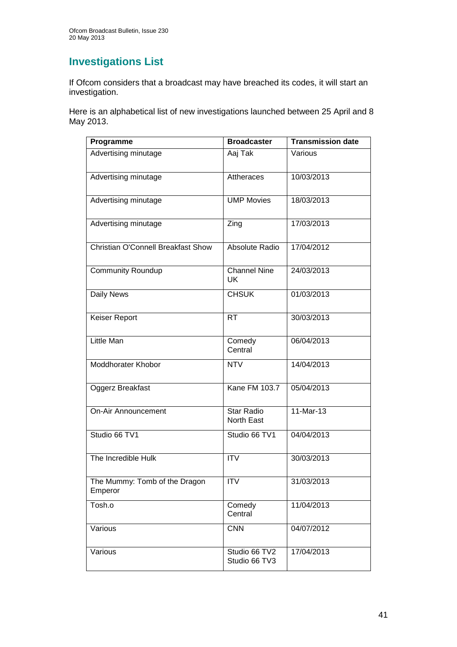# **Investigations List**

If Ofcom considers that a broadcast may have breached its codes, it will start an investigation.

Here is an alphabetical list of new investigations launched between 25 April and 8 May 2013.

| Programme                                 | <b>Broadcaster</b>              | <b>Transmission date</b> |
|-------------------------------------------|---------------------------------|--------------------------|
| Advertising minutage                      | Aaj Tak                         | Various                  |
| Advertising minutage                      | <b>Attheraces</b>               | 10/03/2013               |
| Advertising minutage                      | <b>UMP Movies</b>               | 18/03/2013               |
| Advertising minutage                      | Zing                            | 17/03/2013               |
| <b>Christian O'Connell Breakfast Show</b> | Absolute Radio                  | 17/04/2012               |
| <b>Community Roundup</b>                  | <b>Channel Nine</b><br>UK       | 24/03/2013               |
| <b>Daily News</b>                         | <b>CHSUK</b>                    | 01/03/2013               |
| Keiser Report                             | <b>RT</b>                       | 30/03/2013               |
| Little Man                                | Comedy<br>Central               | 06/04/2013               |
| <b>Moddhorater Khobor</b>                 | <b>NTV</b>                      | 14/04/2013               |
| Oggerz Breakfast                          | Kane FM 103.7                   | 05/04/2013               |
| <b>On-Air Announcement</b>                | <b>Star Radio</b><br>North East | $11-Mar-13$              |
| Studio 66 TV1                             | Studio 66 TV1                   | 04/04/2013               |
| The Incredible Hulk                       | <b>ITV</b>                      | 30/03/2013               |
| The Mummy: Tomb of the Dragon<br>Emperor  | $\overline{\text{IV}}$          | 31/03/2013               |
| Tosh.o                                    | Comedy<br>Central               | 11/04/2013               |
| Various                                   | <b>CNN</b>                      | 04/07/2012               |
| Various                                   | Studio 66 TV2<br>Studio 66 TV3  | 17/04/2013               |